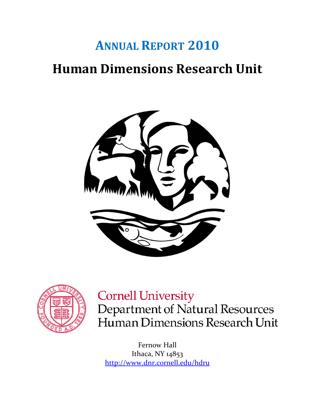# **ANNUAL REPORT 2010 Human Dimensions Research Unit**





# **Cornell University**

Department of Natural Resources Human Dimensions Research Unit

Fernow Hall Ithaca, NY 14853 <http://www.dnr.cornell.edu/hdru>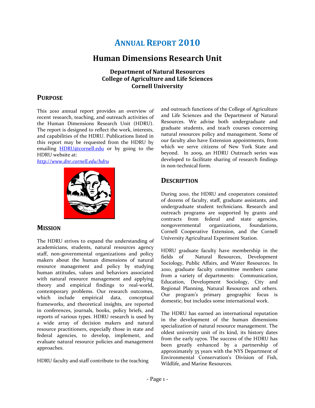# **ANNUAL REPORT 2010**

# **Human Dimensions Research Unit**

**Department of Natural Resources College of Agriculture and Life Sciences Cornell University**

### **PURPOSE**

This 2010 annual report provides an overview of recent research, teaching, and outreach activities of the Human Dimensions Research Unit (HDRU). The report is designed to reflect the work, interests, and capabilities of the HDRU. Publications listed in this report may be requested from the HDRU by emailing **[HDRU@cornell.edu](mailto:HDRU@cornell.edu)** or by going to the HDRU website at:

#### *<http://www.dnr.cornell.edu/hdru>*



#### **MISSION**

The HDRU strives to expand the understanding of academicians, students, natural resources agency staff, non-governmental organizations and policy makers about the human dimensions of natural resource management and policy by studying human attitudes, values and behaviors associated with natural resource management and applying theory and empirical findings to real-world, contemporary problems. Our research outcomes, which include empirical data, conceptual frameworks, and theoretical insights, are reported in conferences, journals, books, policy briefs, and reports of various types. HDRU research is used by a wide array of decision makers and natural resource practitioners, especially those in state and federal agencies, to develop, implement, and evaluate natural resource policies and management approaches.

HDRU faculty and staff contribute to the teaching

and outreach functions of the College of Agriculture and Life Sciences and the Department of Natural Resources. We advise both undergraduate and graduate students, and teach courses concerning natural resources policy and management. Some of our faculty also have Extension appointments, from which we serve citizens of New York State and beyond. In 2009, an HDRU Outreach series was developed to facilitate sharing of research findings in non-technical form.

### **DESCRIPTION**

During 2010, the HDRU and cooperators consisted of dozens of faculty, staff, graduate assistants, and undergraduate student technicians. Research and outreach programs are supported by grants and contracts from federal and state agencies, nongovernmental organizations, foundations, Cornell Cooperative Extension, and the Cornell University Agricultural Experiment Station.

HDRU graduate faculty have membership in the fields of Natural Resources, Development Sociology, Public Affairs, and Water Resources. In 2010, graduate faculty committee members came from a variety of departments: Communication, Education, Development Sociology, City and Regional Planning, Natural Resources and others. Our program's primary geographic focus is domestic, but includes some international work.

The HDRU has earned an international reputation in the development of the human dimensions specialization of natural resource management. The oldest university unit of its kind, its history dates from the early 1970s. The success of the HDRU has been greatly enhanced by a partnership of approximately 35 years with the NYS Department of Environmental Conservation's Division of Fish, Wildlife, and Marine Resources.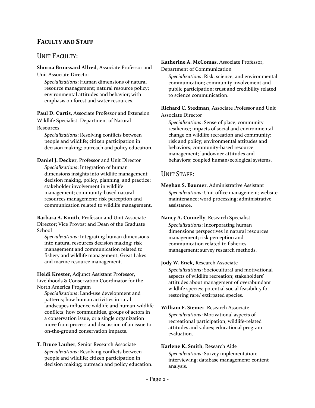# **FACULTY AND STAFF**

### UNIT FACULTY:

**Shorna Broussard Allred**, Associate Professor and Unit Associate Director

*Specializations*: Human dimensions of natural resource management; natural resource policy; environmental attitudes and behavior; with emphasis on forest and water resources.

**Paul D. Curtis**, Associate Professor and Extension Wildlife Specialist, Department of Natural Resources

*Specializations*: Resolving conflicts between people and wildlife; citizen participation in decision making; outreach and policy education.

**Daniel J. Decker**, Professor and Unit Director *Specializations*: Integration of human dimensions insights into wildlife management decision making, policy, planning, and practice; stakeholder involvement in wildlife management; community-based natural resources management; risk perception and communication related to wildlife management.

**Barbara A. Knuth**, Professor and Unit Associate Director; Vice Provost and Dean of the Graduate School

*Specializations*: Integrating human dimensions into natural resources decision making; risk management and communication related to fishery and wildlife management; Great Lakes and marine resource management.

**Heidi Krester**, Adjunct Assistant Professor, Livelihoods & Conservation Coordinator for the North America Program

*Specializations*: Land-use development and patterns; how human activities in rural landscapes influence wildlife and human-wildlife conflicts; how communities, groups of actors in a conservation issue, or a single organization move from process and discussion of an issue to on-the-ground conservation impacts.

**T. Bruce Lauber**, Senior Research Associate *Specializations*: Resolving conflicts between people and wildlife; citizen participation in decision making; outreach and policy education.

#### **Katherine A. McComas**, Associate Professor,

Department of Communication

*Specializations*: Risk, science, and environmental communication; community involvement and public participation; trust and credibility related to science communication.

**Richard C. Stedman**, Associate Professor and Unit Associate Director

*Specializations*: Sense of place; community resilience; impacts of social and environmental change on wildlife recreation and community; risk and policy; environmental attitudes and behaviors; community-based resource management; landowner attitudes and behaviors; coupled human/ecological systems.

### UNIT STAFF:

**Meghan S. Baumer**, Administrative Assistant *Specializations*: Unit office management; website maintenance; word processing; administrative assistance.

**Nancy A. Connelly**, Research Specialist *Specializations*: Incorporating human dimensions perspectives in natural resources management; risk perception and communication related to fisheries management; survey research methods.

#### **Jody W. Enck**, Research Associate

*Specializations*: Sociocultural and motivational aspects of wildlife recreation; stakeholders' attitudes about management of overabundant wildlife species; potential social feasibility for restoring rare/ extirpated species.

**William F. Siemer**, Research Associate *Specializations*: Motivational aspects of recreational participation; wildlife-related attitudes and values; educational program evaluation.

#### **Karlene K. Smith**, Research Aide

*Specializations*: Survey implementation; interviewing; database management; content analysis.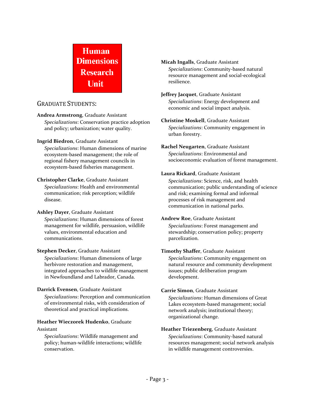# **Human Dimensions Research Unit**

## GRADUATE STUDENTS:

**Andrea Armstrong**, Graduate Assistant

*Specializations*: Conservation practice adoption and policy; urbanization; water quality.

**Ingrid Biedron**, Graduate Assistant

*Specializations*: Human dimensions of marine ecosystem-based management; the role of regional fishery management councils in ecosystem-based fisheries management.

### **Christopher Clarke**, Graduate Assistant

*Specializations*: Health and environmental communication; risk perception; wildlife disease.

### **Ashley Dayer**, Graduate Assistant

*Specializations*: Human dimensions of forest management for wildlife, persuasion, wildlife values, environmental education and communications.

### **Stephen Decker**, Graduate Assistant

*Specializations*: Human dimensions of large herbivore restoration and management, integrated approaches to wildlife management in Newfoundland and Labrador, Canada.

### **Darrick Evensen**, Graduate Assistant

*Specializations*: Perception and communication of environmental risks, with consideration of theoretical and practical implications.

### **Heather Wieczorek Hudenko**, Graduate Assistant

*Specializations*: Wildlife management and policy; human-wildlife interactions; wildlife conservation.

### **Micah Ingalls**, Graduate Assistant

*Specializations*: Community-based natural resource management and social-ecological resilience.

#### **Jeffrey Jacquet**, Graduate Assistant *Specializations*: Energy development and economic and social impact analysis.

# **Christine Moskell**, Graduate Assistant

*Specializations*: Community engagement in urban forestry.

#### **Rachel Neugarten**, Graduate Assistant *Specializations*: Environmental and socioeconomic evaluation of forest management.

### **Laura Rickard**, Graduate Assistant

*Specializations*: Science, risk, and health communication; public understanding of science and risk; examining formal and informal processes of risk management and communication in national parks.

### **Andrew Roe**, Graduate Assistant

*Specializations*: Forest management and stewardship; conservation policy; property parcelization.

### **Timothy Shaffer**, Graduate Assistant

*Specializations*: Community engagement on natural resource and community development issues; public deliberation program development.

### **Carrie Simon**, Graduate Assistant

*Specializations*: Human dimensions of Great Lakes ecosystem-based management; social network analysis; institutional theory; organizational change.

## **Heather Triezenberg**, Graduate Assistant

*Specializations*: Community-based natural resources management; social network analysis in wildlife management controversies.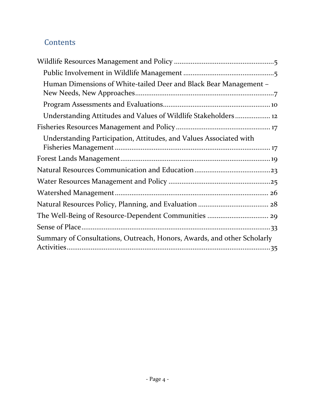# **Contents**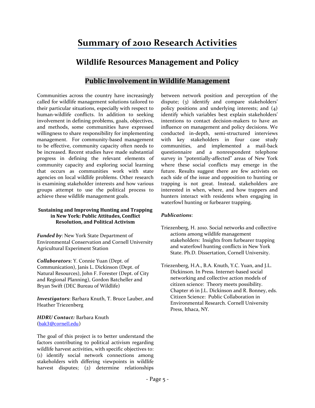# **Summary of 2010 Research Activities**

# **Wildlife Resources Management and Policy**

# **Public Involvement in Wildlife Management**

<span id="page-5-1"></span><span id="page-5-0"></span>Communities across the country have increasingly called for wildlife management solutions tailored to their particular situations, especially with respect to human-wildlife conflicts. In addition to seeking involvement in defining problems, goals, objectives, and methods, some communities have expressed willingness to share responsibility for implementing management. For community-based management to be effective, community capacity often needs to be increased. Recent studies have made substantial progress in defining the relevant elements of community capacity and exploring social learning that occurs as communities work with state agencies on local wildlife problems. Other research is examining stakeholder interests and how various groups attempt to use the political process to achieve these wildlife management goals.

#### **Sustaining and Improving Hunting and Trapping in New York: Public Attitudes, Conflict Resolution, and Political Activism**

*Funded by*: New York State Department of Environmental Conservation and Cornell University Agricultural Experiment Station

*Collaborators*: Y. Connie Yuan (Dept. of Communication), Janis L. Dickinson (Dept. of Natural Resources), John F. Forester (Dept. of City and Regional Planning), Gordon Batcheller and Bryan Swift (DEC Bureau of Wildlife)

*Investigators*: Barbara Knuth, T. Bruce Lauber, and Heather Triezenberg

*HDRU Contact:* Barbara Knuth ([bak3@cornell.edu](mailto:bak3@cornell.edu))

The goal of this project is to better understand the factors contributing to political activism regarding wildlife harvest activities, with specific objectives to: (1) identify social network connections among stakeholders with differing viewpoints in wildlife harvest disputes; (2) determine relationships

between network position and perception of the dispute; (3) identify and compare stakeholders' policy positions and underlying interests; and (4) identify which variables best explain stakeholders' intentions to contact decision-makers to have an influence on management and policy decisions. We conducted in-depth, semi-structured interviews with key stakeholders in four case study communities, and implemented a mail-back questionnaire and a nonrespondent telephone survey in "potentially-affected" areas of New York where these social conflicts may emerge in the future. Results suggest there are few activists on each side of the issue and opposition to hunting or trapping is not great. Instead, stakeholders are interested in when, where, and how trappers and hunters interact with residents when engaging in waterfowl hunting or furbearer trapping.

#### *Publications*:

Triezenberg, H. 2010. Social networks and collective actions among wildlife management stakeholders: Insights from furbearer trapping and waterfowl hunting conflicts in New York State. Ph.D. Dissertation, Cornell University.

Triezenberg, H.A., B.A. Knuth, Y.C. Yuan, and J.L. Dickinson. In Press. Internet-based social networking and collective action models of citizen science: Theory meets possibility. Chapter 16 in J.L. Dickinson and R. Bonney, eds. Citizen Science: Public Collaboration in Environmental Research. Cornell University Press, Ithaca, NY.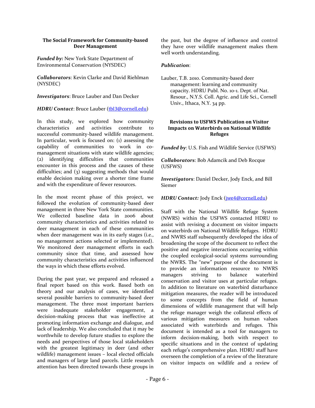#### **The Social Framework for Community-based Deer Management**

*Funded by:* New York State Department of Environmental Conservation (NYSDEC)

*Collaborators*: Kevin Clarke and David Riehlman (NYSDEC)

*Investigators*: Bruce Lauber and Dan Decker

*HDRU Contact*: Bruce Lauber ([tbl3@cornell.edu](mailto:tbl3@cornell.edu))

In this study, we explored how community characteristics and activities contribute to successful community-based wildlife management. In particular, work is focused on: (1) assessing the capability of communities to work in comanagement situations with state wildlife agencies; (2) identifying difficulties that communities encounter in this process and the causes of these difficulties; and (3) suggesting methods that would enable decision making over a shorter time frame and with the expenditure of fewer resources.

In the most recent phase of this project, we followed the evolution of community-based deer management in three New York State communities. We collected baseline data in 2006 about community characteristics and activities related to deer management in each of these communities when deer management was in its early stages (i.e., no management actions selected or implemented). We monitored deer management efforts in each community since that time, and assessed how community characteristics and activities influenced the ways in which these efforts evolved.

During the past year, we prepared and released a final report based on this work. Based both on theory and our analysis of cases, we identified several possible barriers to community-based deer management. The three most important barriers were inadequate stakeholder engagement, a decision-making process that was ineffective at promoting information exchange and dialogue, and lack of leadership. We also concluded that it may be worthwhile to develop future studies to explore the needs and perspectives of those local stakeholders with the greatest legitimacy in deer (and other wildlife) management issues – local elected officials and managers of large land parcels. Little research attention has been directed towards these groups in the past, but the degree of influence and control they have over wildlife management makes them well worth understanding.

#### *Publication*:

Lauber, T.B. 2010. Community-based deer management: learning and community capacity. HDRU Publ. No. 10-1. Dept. of Nat. Resour., N.Y.S. Coll. Agric. and Life Sci., Cornell Univ., Ithaca, N.Y. 34 pp.

#### **Revisions to USFWS Publication on Visitor Impacts on Waterbirds on National Wildlife Refuges**

*Funded by*: U.S. Fish and Wildlife Service (USFWS)

*Collaborators*: Bob Adamcik and Deb Rocque (USFWS)

*Investigators*: Daniel Decker, Jody Enck, and Bill Siemer

*HDRU Contact:* Jody Enck ([jwe4@cornell.edu](mailto:jwe4@cornell.edu))

Staff with the National Wildlife Refuge System (NWRS) within the USFWS contacted HDRU to assist with revising a document on visitor impacts on waterbirds on National Wildlife Refuges. HDRU and NWRS staff subsequently developed the idea of broadening the scope of the document to reflect the positive and negative interactions occurring within the coupled ecological-social systems surrounding the NWRS. The "new" purpose of the document is to provide an information resource to NWRS managers striving to balance waterbird conservation and visitor uses at particular refuges. In addition to literature on waterbird disturbance mitigation measures, the reader will be introduced to some concepts from the field of human dimensions of wildlife management that will help the refuge manager weigh the collateral effects of various mitigation measures on human values associated with waterbirds and refuges. This document is intended as a tool for managers to inform decision-making, both with respect to specific situations and in the context of updating each refuge's comprehensive plan. HDRU staff have overseen the completion of a review of the literature on visitor impacts on wildlife and a review of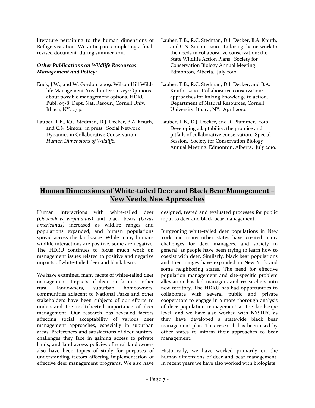literature pertaining to the human dimensions of Refuge visitation. We anticipate completing a final, revised document during summer 2011.

#### *Other Publications on Wildlife Resources Management and Policy:*

- Enck, J.W., and W. Gordon. 2009. Wilson Hill Wildlife Management Area hunter survey: Opinions about possible management options. HDRU Publ. 09-8. Dept. Nat. Resour., Cornell Univ., Ithaca, NY. 27 p.
- Lauber, T.B., R.C. Stedman, D.J. Decker, B.A. Knuth, and C.N. Simon. in press. Social Network Dynamics in Collaborative Conservation. *Human Dimensions of Wildlife*.
- Lauber, T.B., R.C. Stedman, D.J. Decker, B.A. Knuth, and C.N. Simon. 2010. Tailoring the network to the needs in collaborative conservation: the State Wildlife Action Plans. Society for Conservation Biology Annual Meeting. Edmonton, Alberta. July 2010.
- Lauber, T.B., R.C. Stedman, D.J. Decker, and B.A. Knuth. 2010. Collaborative conservation: approaches for linking knowledge to action. Department of Natural Resources, Cornell University, Ithaca, NY. April 2010.
- Lauber, T.B., D.J. Decker, and R. Plummer. 2010. Developing adaptability: the promise and pitfalls of collaborative conservation. Special Session. Society for Conservation Biology Annual Meeting. Edmonton, Alberta. July 2010.

# <span id="page-7-0"></span>**Human Dimensions of White-tailed Deer and Black Bear Management – New Needs, New Approaches**

Human interactions with white-tailed deer *(Odocoileus virginianus)* and black bears *(Ursus americanus)* increased as wildlife ranges and populations expanded, and human populations spread across the landscape. While many humanwildlife interactions are positive, some are negative. The HDRU continues to focus much work on management issues related to positive and negative impacts of white-tailed deer and black bears.

We have examined many facets of white-tailed deer management. Impacts of deer on farmers, other rural landowners, suburban homeowners, communities adjacent to National Parks and other stakeholders have been subjects of our efforts to understand the multifaceted importance of deer management. Our research has revealed factors affecting social acceptability of various deer management approaches, especially in suburban areas. Preferences and satisfactions of deer hunters, challenges they face in gaining access to private lands, and land access policies of rural landowners also have been topics of study for purposes of understanding factors affecting implementation of effective deer management programs. We also have designed, tested and evaluated processes for public input to deer and black bear management.

Burgeoning white-tailed deer populations in New York and many other states have created many challenges for deer managers, and society in general, as people have been trying to learn how to coexist with deer. Similarly, black bear populations and their ranges have expanded in New York and some neighboring states. The need for effective population management and site-specific problem alleviation has led managers and researchers into new territory. The HDRU has had opportunities to collaborate with several public and private cooperators to engage in a more thorough analysis of deer population management at the landscape level, and we have also worked with NYSDEC as they have developed a statewide black bear management plan. This research has been used by other states to inform their approaches to bear management.

Historically, we have worked primarily on the human dimensions of deer and bear management. In recent years we have also worked with biologists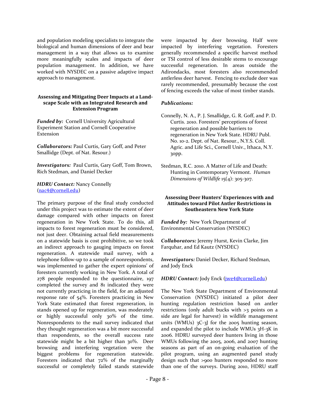and population modeling specialists to integrate the biological and human dimensions of deer and bear management in a way that allows us to examine more meaningfully scales and impacts of deer population management. In addition, we have worked with NYSDEC on a passive adaptive impact approach to management.

#### **Assessing and Mitigating Deer Impacts at a Landscape Scale with an Integrated Research and Extension Program**

*Funded by:* Cornell University Agricultural Experiment Station and Cornell Cooperative Extension

*Collaborators:* Paul Curtis, Gary Goff, and Peter Smallidge (Dept. of Nat. Resour.)

*Investigators:* Paul Curtis, Gary Goff, Tom Brown, Rich Stedman, and Daniel Decker

#### *HDRU Contact:* Nancy Connelly ([nac4@cornell.edu](mailto:nac4@cornell.edu))

The primary purpose of the final study conducted under this project was to estimate the extent of deer damage compared with other impacts on forest regeneration in New York State. To do this, all impacts to forest regeneration must be considered, not just deer. Obtaining actual field measurements on a statewide basis is cost prohibitive, so we took an indirect approach to gauging impacts on forest regeneration. A statewide mail survey, with a telephone follow-up to a sample of nonrespondents, was implemented to gather the expert opinions' of foresters currently working in New York. A total of 278 people responded to the questionnaire, 197 completed the survey and 81 indicated they were not currently practicing in the field, for an adjusted response rate of 54%. Foresters practicing in New York State estimated that forest regeneration, in stands opened up for regeneration, was moderately or highly successful only 30% of the time. Nonrespondents to the mail survey indicated that they thought regeneration was a bit more successful than respondents, so the overall success rate statewide might be a bit higher than 30%. Deer browsing and interfering vegetation were the biggest problems for regeneration statewide. Foresters indicated that 72% of the marginally successful or completely failed stands statewide were impacted by deer browsing. Half were impacted by interfering vegetation. Foresters generally recommended a specific harvest method or TSI control of less desirable stems to encourage successful regeneration. In areas outside the Adirondacks, most foresters also recommended antlerless deer harvest. Fencing to exclude deer was rarely recommended, presumably because the cost of fencing exceeds the value of most timber stands.

#### *Publications:*

Connelly, N. A., P. J. Smallidge, G. R. Goff, and P. D. Curtis. 2010. Foresters' perceptions of forest regeneration and possible barriers to regeneration in New York State. HDRU Publ. No. 10-2. Dept. of Nat. Resour., N.Y.S. Coll. Agric. and Life Sci., Cornell Univ., Ithaca, N.Y. 30pp.

Stedman, R.C. 2010. A Matter of Life and Death: Hunting in Contemporary Vermont. *Human Dimensions of Wildlife* 15(4): 305-307.

#### **Assessing Deer Hunters' Experiences with and Attitudes toward Pilot Antler Restrictions in Southeastern New York State**

*Funded by:* New York Department of Environmental Conservation (NYSDEC)

*Collaborators:* Jeremy Hurst, Kevin Clarke, Jim Farquhar, and Ed Kautz (NYSDEC)

*Investigators:* Daniel Decker, Richard Stedman, and Jody Enck

*HDRU Contact:* Jody Enck ([jwe4@cornell.edu](mailto:jwe4@cornell.edu))

The New York State Department of Environmental Conservation (NYSDEC) initiated a pilot deer hunting regulation restriction based on antler restrictions (only adult bucks with >3 points on a side are legal for harvest) in wildlife management units (WMUs) 3C-3J for the 2005 hunting season, and expanded the pilot to include WMUs 3H-3K in 2006. HDRU surveyed deer hunters living in those WMUs following the 2005, 2006, and 2007 hunting seasons as part of an on-going evaluation of the pilot program, using an augmented panel study design such that >900 hunters responded to more than one of the surveys. During 2010, HDRU staff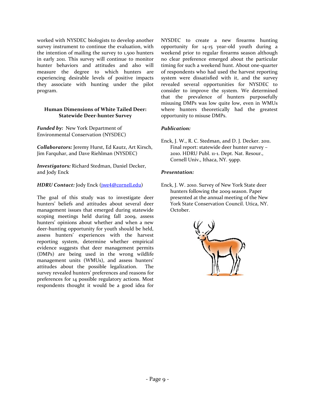worked with NYSDEC biologists to develop another survey instrument to continue the evaluation, with the intention of mailing the survey to 1,500 hunters in early 2011. This survey will continue to monitor hunter behaviors and attitudes and also will measure the degree to which hunters are experiencing desirable levels of positive impacts they associate with hunting under the pilot program.

#### **Human Dimensions of White Tailed Deer: Statewide Deer-hunter Survey**

*Funded by:* New York Department of Environmental Conservation (NYSDEC)

*Collaborators:* Jeremy Hurst, Ed Kautz, Art Kirsch, Jim Farquhar, and Dave Riehlman (NYSDEC)

*Investigators:* Richard Stedman, Daniel Decker, and Jody Enck

#### *HDRU Contact:* Jody Enck (*[jwe4@cornell.edu](mailto:jwe4@cornell.edu)*)

The goal of this study was to investigate deer hunters' beliefs and attitudes about several deer management issues that emerged during statewide scoping meetings held during fall 2009, assess hunters' opinions about whether and when a new deer-hunting opportunity for youth should be held, assess hunters' experiences with the harvest reporting system, determine whether empirical evidence suggests that deer management permits (DMPs) are being used in the wrong wildlife management units (WMUs), and assess hunters' attitudes about the possible legalization. The survey revealed hunters' preferences and reasons for preferences for 14 possible regulatory actions. Most respondents thought it would be a good idea for

NYSDEC to create a new firearms hunting opportunity for 14-15 year-old youth during a weekend prior to regular firearms season although no clear preference emerged about the particular timing for such a weekend hunt. About one-quarter of respondents who had used the harvest reporting system were dissatisfied with it, and the survey revealed several opportunities for NYSDEC to consider to improve the system. We determined that the prevalence of hunters purposefully misusing DMPs was low quite low, even in WMUs where hunters theoretically had the greatest opportunity to misuse DMPs.

#### *Publication:*

Enck, J. W., R. C. Stedman, and D. J. Decker. 2011. Final report: statewide deer hunter survey – 2010. HDRU Publ. 11-1. Dept. Nat. Resour., Cornell Univ., Ithaca, NY. 59pp.

#### *Presentation:*

Enck, J. W. 2010. Survey of New York State deer hunters following the 2009 season. Paper presented at the annual meeting of the New York State Conservation Council. Utica, NY. October.

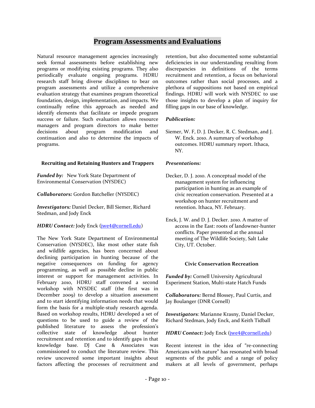### **Program Assessments and Evaluations**

<span id="page-10-0"></span>Natural resource management agencies increasingly seek formal assessments before establishing new programs or modifying existing programs. They also periodically evaluate ongoing programs. HDRU research staff bring diverse disciplines to bear on program assessments and utilize a comprehensive evaluation strategy that examines program theoretical foundation, design, implementation, and impacts. We continually refine this approach as needed and identify elements that facilitate or impede program success or failure. Such evaluation allows resource managers and program directors to make better decisions about program modification and continuation and also to determine the impacts of programs.

#### **Recruiting and Retaining Hunters and Trappers**

*Funded by:*New York State Department of Environmental Conservation (NYSDEC)

*Collaborators:* Gordon Batcheller (NYSDEC)

*Investigators:* Daniel Decker, Bill Siemer, Richard Stedman, and Jody Enck

#### *HDRU Contact:* Jody Enck (*[jwe4@cornell.edu](mailto:jwe4@cornell.edu)*)

The New York State Department of Environmental Conservation (NYSDEC), like most other state fish and wildlife agencies, has been concerned about declining participation in hunting because of the negative consequences on funding for agency programming, as well as possible decline in public interest or support for management activities. In February 2010, HDRU staff convened a second workshop with NYSDEC staff (the first was in December 2009) to develop a situation assessment and to start identifying information needs that would form the basis for a multiple-study research agenda. Based on workshop results, HDRU developed a set of questions to be used to guide a review of the published literature to assess the profession's collective state of knowledge about hunter recruitment and retention and to identify gaps in that knowledge base. DJ Case & Associates was commissioned to conduct the literature review. This review uncovered some important insights about factors affecting the processes of recruitment and retention, but also documented some substantial deficiencies in our understanding resulting from discrepancies in definitions of the terms recruitment and retention, a focus on behavioral outcomes rather than social processes, and a plethora of suppositions not based on empirical findings. HDRU will work with NYSDEC to use those insights to develop a plan of inquiry for filling gaps in our base of knowledge.

#### *Publication:*

Siemer, W. F, D. J. Decker, R. C. Stedman, and J. W. Enck. 2010. A summary of workshop outcomes. HDRU summary report. Ithaca, NY.

#### *Presentations:*

- Decker, D. J. 2010. A conceptual model of the management system for influencing participation in hunting as an example of civic recreation conservation. Presented at a workshop on hunter recruitment and retention. Ithaca, NY. February.
- Enck, J. W. and D. J. Decker. 2010. A matter of access in the East: roots of landowner-hunter conflicts. Paper presented at the annual meeting of The Wildlife Society, Salt Lake City, UT. October.

#### **Civic Conservation Recreation**

*Funded by:* Cornell University Agricultural Experiment Station, Multi-state Hatch Funds

*Collaborators:* Bernd Blossey, Paul Curtis, and Jay Boulanger (DNR Cornell)

*Investigators*: Marianne Krasny, Daniel Decker, Richard Stedman, Jody Enck, and Keith Tidball

*HDRU Contact:* Jody Enck ([jwe4@cornell.edu](mailto:jwe4@cornell.edu))

Recent interest in the idea of "re-connecting Americans with nature" has resonated with broad segments of the public and a range of policy makers at all levels of government, perhaps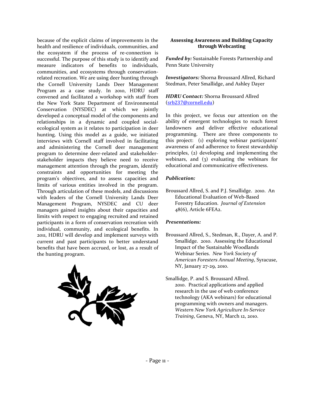because of the explicit claims of improvements in the health and resilience of individuals, communities, and the ecosystem if the process of re-connection is successful. The purpose of this study is to identify and measure indicators of benefits to individuals, communities, and ecosystems through conservationrelated recreation. We are using deer hunting through the Cornell University Lands Deer Management Program as a case study. In 2010, HDRU staff convened and facilitated a workshop with staff from the New York State Department of Environmental Conservation (NYSDEC) at which we jointly developed a conceptual model of the components and relationships in a dynamic and coupled socialecological system as it relates to participation in deer hunting. Using this model as a guide, we initiated interviews with Cornell staff involved in facilitating and administering the Cornell deer management program to determine deer-related and stakeholderstakeholder impacts they believe need to receive management attention through the program, identify constraints and opportunities for meeting the program's objectives, and to assess capacities and limits of various entities involved in the program. Through articulation of these models, and discussions with leaders of the Cornell University Lands Deer Management Program, NYSDEC and CU deer managers gained insights about their capacities and limits with respect to engaging recruited and retained participants in a form of conservation recreation with individual, community, and ecological benefits. In 2011, HDRU will develop and implement surveys with current and past participants to better understand benefits that have been accrued, or lost, as a result of the hunting program.



#### **Assessing Awareness and Building Capacity through Webcasting**

*Funded by:* Sustainable Forests Partnership and Penn State University

*Investigators:* Shorna Broussard Allred, Richard Stedman, Peter Smallidge, and Ashley Dayer

#### *HDRU Contact:* Shorna Broussard Allred ([srb237@cornell.edu](mailto:srb237@cornell.edu))

In this project, we focus our attention on the ability of emergent technologies to reach forest landowners and deliver effective educational programming. There are three components to this project: (1) exploring webinar participants' awareness of and adherence to forest stewardship principles, (2) developing and implementing the webinars, and (3) evaluating the webinars for educational and communicative effectiveness.

#### *Publication:*

Broussard Allred, S. and P.J. Smallidge. 2010. An Educational Evaluation of Web-Based Forestry Education. *Journal of Extension*  48(6), Article 6FEA2.

#### *Presentations:*

- Broussard Allred, S., Stedman, R., Dayer, A. and P. Smallidge. 2010. Assessing the Educational Impact of the Sustainable Woodlands Webinar Series. *New York Society of American Foresters Annual Meeting*, Syracuse, NY, January 27-29, 2010.
- Smallidge, P. and S. Broussard Allred. 2010. Practical applications and applied research in the use of web conference technology (AKA webinars) for educational programming with owners and managers. *Western New York Agriculture In-Service Training*, Geneva, NY, March 12, 2010.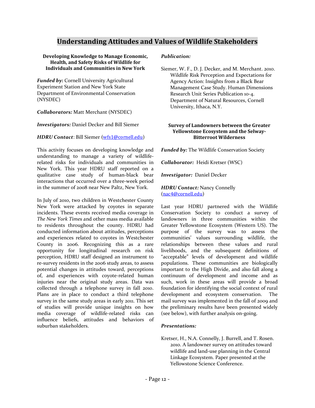# **Understanding Attitudes and Values of Wildlife Stakeholders**

#### <span id="page-12-0"></span>**Developing Knowledge to Manage Economic, Health, and Safety Risks of Wildlife for Individuals and Communities in New York**

*Funded by:* Cornell University Agricultural Experiment Station and New York State Department of Environmental Conservation (NYSDEC)

#### *Collaborators:* Matt Merchant (NYSDEC)

*Investigators:* Daniel Decker and Bill Siemer

#### *HDRU Contact*: Bill Siemer ([wfs1@cornell.edu](mailto:wfs1@cornell.edu))

This activity focuses on developing knowledge and understanding to manage a variety of wildliferelated risks for individuals and communities in New York. This year HDRU staff reported on a qualitative case study of human-black bear interactions that occurred over a three-week period in the summer of 2008 near New Paltz, New York.

In July of 2010, two children in Westchester County New York were attacked by coyotes in separate incidents. These events received media coverage in *The New York Times* and other mass media available to residents throughout the county. HDRU had conducted information about attitudes, perceptions and experiences related to coyotes in Westchester County in 2006. Recognizing this as a rare opportunity for longitudinal research on risk perception, HDRU staff designed an instrument to re-survey residents in the 2006 study areas, to assess potential changes in attitudes toward, perceptions of, and experiences with coyote-related human injuries near the original study areas. Data was collected through a telephone survey in fall 2010. Plans are in place to conduct a third telephone survey in the same study areas in early 2011. This set of studies will provide unique insights on how media coverage of wildlife-related risks can influence beliefs, attitudes and behaviors of suburban stakeholders.

#### *Publication:*

Siemer, W. F., D. J. Decker, and M. Merchant. 2010. Wildlife Risk Perception and Expectations for Agency Action: Insights from a Black Bear Management Case Study. Human Dimensions Research Unit Series Publication 10-4. Department of Natural Resources, Cornell University, Ithaca, N.Y.

#### **Survey of Landowners between the Greater Yellowstone Ecosystem and the Selway-Bitterroot Wilderness**

*Funded by:* The Wildlife Conservation Society

*Collaborator:* Heidi Kretser (WSC)

*Investigator:* Daniel Decker

#### *HDRU Contact:* Nancy Connelly ([nac4@cornell.edu](mailto:nac4@cornell.edu))

Last year HDRU partnered with the Wildlife Conservation Society to conduct a survey of landowners in three communities within the Greater Yellowstone Ecosystem (Western US). The purpose of the survey was to assess the communities' values surrounding wildlife, the relationships between these values and rural livelihoods, and the subsequent definitions of "acceptable" levels of development and wildlife populations. These communities are biologically important to the High Divide, and also fall along a continuum of development and income and as such, work in these areas will provide a broad foundation for identifying the social context of rural development and ecosystem conservation. The mail survey was implemented in the fall of 2009 and the preliminary results have been presented widely (see below), with further analysis on-going.

#### *Presentations:*

Kretser, H., N.A. Connelly, J. Burrell, and T. Rosen. 2010. A landowner survey on attitudes toward wildlife and land-use planning in the Central Linkage Ecosystem. Paper presented at the Yellowstone Science Conference.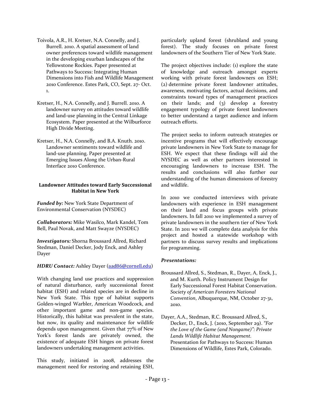- Toivola, A.R., H. Kretser, N.A. Connelly, and J. Burrell. 2010. A spatial assessment of land owner preferences toward wildlife management in the developing exurban landscapes of the Yellowstone Rockies. Paper presented at Pathways to Success: Integrating Human Dimensions into Fish and Wildlife Management 2010 Conference. Estes Park, CO, Sept. 27- Oct. 1.
- Kretser, H., N.A. Connelly, and J. Burrell. 2010. A landowner survey on attitudes toward wildlife and land-use planning in the Central Linkage Ecosystem. Paper presented at the Wilburforce High Divide Meeting.
- Kretser, H., N.A. Connelly, and B.A. Knuth. 2010. Landowner sentiments toward wildlife and land-use planning. Paper presented at Emerging Issues Along the Urban-Rural Interface 2010 Conference.

#### **Landowner Attitudes toward Early Successional Habitat in New York**

*Funded by:* New York State Department of Environmental Conservation (NYSDEC)

*Collaborators:* Mike Wasilco, Mark Kandel, Tom Bell, Paul Novak, and Matt Swayze (NYSDEC)

*Investigators:* Shorna Broussard Allred, Richard Stedman, Daniel Decker, Jody Enck, and Ashley Dayer

#### *HDRU Contact:* Ashley Dayer ([aad86@cornell.edu](mailto:aad86@cornell.edu))

With changing land use practices and suppression of natural disturbance, early successional forest habitat (ESH) and related species are in decline in New York State. This type of habitat supports Golden-winged Warbler, American Woodcock, and other important game and non-game species. Historically, this habitat was prevalent in the state, but now, its quality and maintenance for wildlife depends upon management. Given that 77% of New York's forest lands are privately owned, the existence of adequate ESH hinges on private forest landowners undertaking management activities.

This study, initiated in 2008, addresses the management need for restoring and retaining ESH, particularly upland forest (shrubland and young forest). The study focuses on private forest landowners of the Southern Tier of New York State.

The project objectives include: (1) explore the state of knowledge and outreach amongst experts working with private forest landowners on ESH; (2) determine private forest landowner attitudes, awareness, motivating factors, actual decisions, and constraints toward types of management practices on their lands; and (3) develop a forestry engagement typology of private forest landowners to better understand a target audience and inform outreach efforts.

The project seeks to inform outreach strategies or incentive programs that will effectively encourage private landowners in New York State to manage for ESH. We expect that these findings will aid the NYSDEC as well as other partners interested in encouraging landowners to increase ESH. The results and conclusions will also further our understanding of the human dimensions of forestry and wildlife.

In 2010 we conducted interviews with private landowners with experience in ESH management on their land and focus groups with private landowners. In fall 2010 we implemented a survey of private landowners in the southern tier of New York State. In 2011 we will complete data analysis for this project and hosted a statewide workshop with partners to discuss survey results and implications for programming.

#### *Presentations:*

- Broussard Allred, S., Stedman, R., Dayer, A, Enck, J., and M. Kurth. Policy Instrument Design for Early Successional Forest Habitat Conservation. *Society of American Foresters National Convention*, Albuquerque, NM, October 27-31, 2010.
- Dayer, A.A., Stedman, R.C. Broussard Allred, S., Decker, D., Enck, J. (2010, September 29). *"For the Love of the Game (and Nongame)": Private Lands Wildlife Habitat Management.*  Presentation for Pathways to Success: Human Dimensions of Wildlife, Estes Park, Colorado.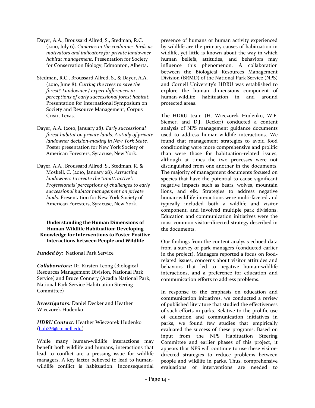- Dayer, A.A., Broussard Allred, S., Stedman, R.C. (2010, July 6). *Canaries in the coalmine: Birds as motivators and indicators for private landowner habitat management.* Presentation for Society for Conservation Biology, Edmonton, Alberta.
- Stedman, R.C., Broussard Allred, S., & Dayer, A.A. (2010, June 8). *Cutting the trees to save the forest? Landowner / expert differences in perceptions of early successional forest habitat.*  Presentation for International Symposium on Society and Resource Management, Corpus Cristi, Texas.
- Dayer, A.A. (2010, January 28). *Early successional forest habitat on private lands: A study of private landowner decision-making in New York State.* Poster presentation for New York Society of American Foresters, Syracuse, New York.
- Dayer, A.A., Broussard Allred, S., Stedman, R. & Moskell, C. (2010, January 28). *Attracting landowners to create the "unattractive": Professionals' perceptions of challenges to early successional habitat management on private lands.* Presentation for New York Society of American Foresters, Syracuse, New York.

**Understanding the Human Dimensions of Human-Wildlife Habituation: Developing Knowledge for Interventions to Foster Positive Interactions between People and Wildlife**

*Funded by:* National Park Service

*Collaborators:* Dr. Kirsten Leong (Biological Resources Management Division, National Park Service) and Bruce Connery (Acadia National Park, National Park Service Habituation Steering Committee)

*Investigators:* Daniel Decker and Heather Wieczorek Hudenko

*HDRU Contact:* Heather Wieczorek Hudenko ([hah29@cornell.edu](mailto:hah29@cornell.edu))

While many human-wildlife interactions may benefit both wildlife and humans, interactions that lead to conflict are a pressing issue for wildlife managers. A key factor believed to lead to humanwildlife conflict is habituation. Inconsequential presence of humans or human activity experienced by wildlife are the primary causes of habituation in wildlife, yet little is known about the way in which human beliefs, attitudes, and behaviors may influence this phenomenon. A collaboration between the Biological Resources Management Division (BRMD) of the National Park Service (NPS) and Cornell University's HDRU was established to explore the human dimensions component of human-wildlife habituation in and around protected areas.

The HDRU team (H. Wieczorek Hudenko, W.F. Siemer, and D.J. Decker) conducted a content analysis of NPS management guidance documents used to address human-wildlife interactions. We found that management strategies to avoid food conditioning were more comprehensive and prolific than were those for habituation-related issues, although at times the two processes were not distinguished from one another in the documents. The majority of management documents focused on species that have the potential to cause significant negative impacts such as bears, wolves, mountain lions, and elk. Strategies to address negative human-wildlife interactions were multi-faceted and typically included both a wildlife and visitor component, and involved multiple park divisions. Education and communication initiatives were the most common visitor-directed strategy described in the documents.

Our findings from the content analysis echoed data from a survey of park managers (conducted earlier in the project). Managers reported a focus on foodrelated issues, concerns about visitor attitudes and behaviors that led to negative human-wildlife interactions, and a preference for education and communication efforts to address problems.

In response to the emphasis on education and communication initiatives, we conducted a review of published literature that studied the effectiveness of such efforts in parks. Relative to the prolific use of education and communication initiatives in parks, we found few studies that empirically evaluated the success of these programs. Based on input from the NPS Habituation Steering Committee and earlier phases of this project, it appears that NPS will continue to use these visitordirected strategies to reduce problems between people and wildlife in parks. Thus, comprehensive evaluations of interventions are needed to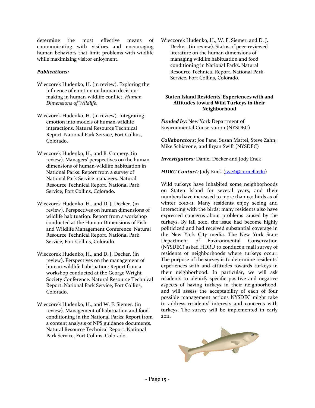determine the most effective means of communicating with visitors and encouraging human behaviors that limit problems with wildlife while maximizing visitor enjoyment.

#### *Publications:*

- Wieczorek Hudenko, H. (in review). Exploring the influence of emotion on human decisionmaking in human-wildlife conflict. *Human Dimensions of Wildlife*.
- Wieczorek Hudenko, H. (in review). Integrating emotion into models of human-wildlife interactions. Natural Resource Technical Report. National Park Service, Fort Collins, Colorado.
- Wieczorek Hudenko, H., and B. Connery. (in review). Managers' perspectives on the human dimensions of human-wildlife habituation in National Parks: Report from a survey of National Park Service managers. Natural Resource Technical Report. National Park Service, Fort Collins, Colorado.
- Wieczorek Hudenko, H., and D. J. Decker. (in review). Perspectives on human dimensions of wildlife habituation: Report from a workshop conducted at the Human Dimensions of Fish and Wildlife Management Conference. Natural Resource Technical Report. National Park Service, Fort Collins, Colorado.
- Wieczorek Hudenko, H., and D. J. Decker. (in review). Perspectives on the management of human-wildlife habituation: Report from a workshop conducted at the George Wright Society Conference. Natural Resource Technical Report. National Park Service, Fort Collins, Colorado.
- Wieczorek Hudenko, H., and W. F. Siemer. (in review). Management of habituation and food conditioning in the National Parks: Report from a content analysis of NPS guidance documents. Natural Resource Technical Report. National Park Service, Fort Collins, Colorado.

Wieczorek Hudenko, H., W. F. Siemer, and D. J. Decker. (in review). Status of peer-reviewed literature on the human dimensions of managing wildlife habituation and food conditioning in National Parks. Natural Resource Technical Report. National Park Service, Fort Collins, Colorado.

#### **Staten Island Residents' Experiences with and Attitudes toward Wild Turkeys in their Neighborhood**

*Funded by:* New York Department of Environmental Conservation (NYSDEC)

*Collaborators:* Joe Pane, Susan Mattei, Steve Zahn, Mike Schiavone, and Bryan Swift (NYSDEC)

*Investigators:* Daniel Decker and Jody Enck

*HDRU Contact: Jody Enck ([jwe4@cornell.edu](mailto:jwe4@cornell.edu))* 

Wild turkeys have inhabited some neighborhoods on Staten Island for several years, and their numbers have increased to more than 150 birds as of winter 2010-11. Many residents enjoy seeing and interacting with the birds; many residents also have expressed concerns about problems caused by the turkeys. By fall 2010, the issue had become highly politicized and had received substantial coverage in the New York City media. The New York State Department of Environmental Conservation (NYSDEC) asked HDRU to conduct a mail survey of residents of neighborhoods where turkeys occur. The purpose of the survey is to determine residents' experiences with and attitudes towards turkeys in their neighborhood. In particular, we will ask residents to identify specific positive and negative aspects of having turkeys in their neighborhood, and will assess the acceptability of each of four possible management actions NYSDEC might take to address residents' interests and concerns with turkeys. The survey will be implemented in early 2011.

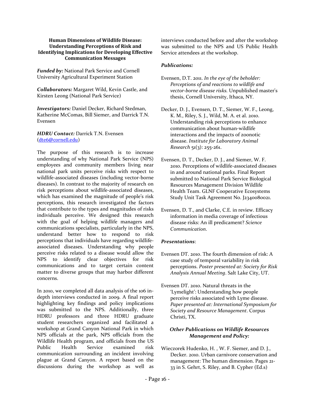#### **Human Dimensions of Wildlife Disease: Understanding Perceptions of Risk and Identifying Implications for Developing Effective Communication Messages**

*Funded by:* National Park Service and Cornell University Agricultural Experiment Station

*Collaborators:* Margaret Wild, Kevin Castle, and Kirsten Leong (National Park Service)

*Investigators:* Daniel Decker, Richard Stedman, Katherine McComas, Bill Siemer, and Darrick T.N. Evensen

*HDRU Contact:* Darrick T.N. Evensen ([dte6@cornell.edu](mailto:dte6@cornell.edu))

The purpose of this research is to increase understanding of why National Park Service (NPS) employees and community members living near national park units perceive risks with respect to wildlife-associated diseases (including vector-borne diseases). In contrast to the majority of research on risk perceptions about wildlife-associated diseases, which has examined the magnitude of people's risk perceptions, this research investigated the factors that contribute to the types and magnitudes of risks individuals perceive. We designed this research with the goal of helping wildlife managers and communications specialists, particularly in the NPS, understand better how to respond to risk perceptions that individuals have regarding wildlifeassociated diseases. Understanding why people perceive risks related to a disease would allow the NPS to identify clear objectives for risk communications and to target certain content matter to diverse groups that may harbor different concerns.

In 2010, we completed all data analysis of the 106 indepth interviews conducted in 2009. A final report highlighting key findings and policy implications was submitted to the NPS. Additionally, three HDRU professors and three HDRU graduate student researchers organized and facilitated a workshop at Grand Canyon National Park in which NPS officials at the park, NPS officials from the Wildlife Health program, and officials from the US Public Health Service examined risk communication surrounding an incident involving plague at Grand Canyon. A report based on the discussions during the workshop as well as interviews conducted before and after the workshop was submitted to the NPS and US Public Health Service attendees at the workshop.

#### *Publications:*

- Evensen, D.T. 2011. *In the eye of the beholder: Perceptions of and reactions to wildlife and vector-borne disease risks.* Unpublished master's thesis, Cornell University, Ithaca, NY.
- Decker, D. J., Evensen, D. T., Siemer, W. F., Leong, K. M., Riley, S. J., Wild, M. A. et al. 2010. Understanding risk perceptions to enhance communication about human-wildlife interactions and the impacts of zoonotic disease. *Institute for Laboratory Animal Research* 51(3): 255-261.
- Evensen, D. T., Decker, D. J., and Siemer, W. F. 2010. Perceptions of wildlife-associated diseases in and around national parks. Final Report submitted to National Park Service Biological Resources Management Division Wildlife Health Team. GLNF Cooperative Ecosystems Study Unit Task Agreement No. J2340080021.
- Evensen, D. T., and Clarke, C.E. in review. Efficacy information in media coverage of infectious disease risks: An ill predicament? *Science Communication*.

#### *Presentations*:

- Evensen DT. 2010. The fourth dimension of risk: A case study of temporal variability in risk perceptions. *Poster presented at: Society for Risk Analysis Annual Meeting*. Salt Lake City, UT.
- Evensen DT. 2010. Natural threats in the 'Lymelight': Understanding how people perceive risks associated with Lyme disease. *Paper presented at: International Symposium for Society and Resource Management*. Corpus Christi, TX.

#### *Other Publications on Wildlife Resources Management and Policy:*

Wieczorek Hudenko, H. , W. F. Siemer, and D. J., Decker. 2010. Urban carnivore conservation and management: The human dimension. Pages 21- 33 in S. Gehrt, S. Riley, and B. Cypher (Ed.s)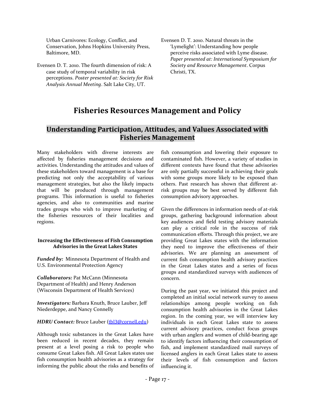Urban Carnivores: Ecology, Conflict, and Conservation, Johns Hopkins University Press, Baltimore, MD.

- Evensen D. T. 2010. The fourth dimension of risk: A case study of temporal variability in risk perceptions. *Poster presented at: Society for Risk Analysis Annual Meeting*. Salt Lake City, UT.
- Evensen D. T. 2010. Natural threats in the 'Lymelight': Understanding how people perceive risks associated with Lyme disease. *Paper presented at: International Symposium for Society and Resource Management*. Corpus Christi, TX.

# **Fisheries Resources Management and Policy**

# <span id="page-17-1"></span><span id="page-17-0"></span>**Understanding Participation, Attitudes, and Values Associated with Fisheries Management**

Many stakeholders with diverse interests are affected by fisheries management decisions and activities. Understanding the attitudes and values of these stakeholders toward management is a base for predicting not only the acceptability of various management strategies, but also the likely impacts that will be produced through management programs. This information is useful to fisheries agencies, and also to communities and marine trades groups who wish to improve marketing of the fisheries resources of their localities and regions.

#### **Increasing the Effectiveness of Fish Consumption Advisories in the Great Lakes States**

*Funded by:*Minnesota Department of Health and U.S. Environmental Protection Agency

*Collaborators:* Pat McCann (Minnesota Department of Health) and Henry Anderson (Wisconsin Department of Health Services)

*Investigators:* Barbara Knuth, Bruce Lauber, Jeff Niederdeppe, and Nancy Connelly

#### *HDRU Contact:* Bruce Lauber ([tbl3@cornell.edu](mailto:tbl3@cornell.edu))

Although toxic substances in the Great Lakes have been reduced in recent decades, they remain present at a level posing a risk to people who consume Great Lakes fish. All Great Lakes states use fish consumption health advisories as a strategy for informing the public about the risks and benefits of fish consumption and lowering their exposure to contaminated fish. However, a variety of studies in different contexts have found that these advisories are only partially successful in achieving their goals with some groups more likely to be exposed than others. Past research has shown that different atrisk groups may be best served by different fish consumption advisory approaches.

Given the differences in information needs of at-risk groups, gathering background information about key audiences and field testing advisory materials can play a critical role in the success of risk communication efforts. Through this project, we are providing Great Lakes states with the information they need to improve the effectiveness of their advisories. We are planning an assessment of current fish consumption health advisory practices in the Great Lakes states and a series of focus groups and standardized surveys with audiences of concern.

During the past year, we initiated this project and completed an initial social network survey to assess relationships among people working on fish consumption health advisories in the Great Lakes region. In the coming year, we will interview key individuals in each Great Lakes state to assess current advisory practices, conduct focus groups with urban anglers and women of child-bearing age to identify factors influencing their consumption of fish, and implement standardized mail surveys of licensed anglers in each Great Lakes state to assess their levels of fish consumption and factors influencing it.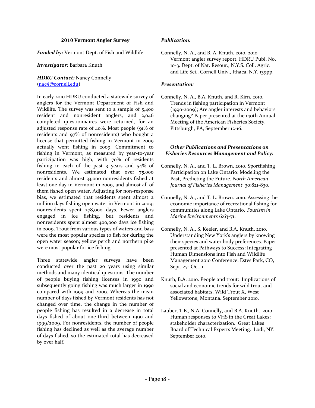#### **2010 Vermont Angler Survey**

*Funded by:* Vermont Dept. of Fish and Wildlife

#### *Investigator:* Barbara Knuth

#### *HDRU Contact:* Nancy Connelly ([nac4@cornell.edu](mailto:nac4@cornell.edu))

In early 2010 HDRU conducted a statewide survey of anglers for the Vermont Department of Fish and Wildlife. The survey was sent to a sample of 5,400 resident and nonresident anglers, and 2,046 completed questionnaires were returned, for an adjusted response rate of 40%. Most people (91% of residents and 97% of nonresidents) who bought a license that permitted fishing in Vermont in 2009 actually went fishing in 2009. Commitment to fishing in Vermont, as measured by year-to-year participation was high, with 70% of residents fishing in each of the past 3 years and 54% of nonresidents. We estimated that over 75,000 residents and almost 33,000 nonresidents fished at least one day in Vermont in 2009, and almost all of them fished open water. Adjusting for non-response bias, we estimated that residents spent almost 2 million days fishing open water in Vermont in 2009; nonresidents spent 278,000 days. Fewer anglers engaged in ice fishing, but residents and nonresidents spent almost 400,000 days ice fishing in 2009. Trout from various types of waters and bass were the most popular species to fish for during the open water season; yellow perch and northern pike were most popular for ice fishing.

Three statewide angler surveys have been conducted over the past 20 years using similar methods and many identical questions. The number of people buying fishing licenses in 1990 and subsequently going fishing was much larger in 1990 compared with 1999 and 2009. Whereas the mean number of days fished by Vermont residents has not changed over time, the change in the number of people fishing has resulted in a decrease in total days fished of about one-third between 1990 and 1999/2009. For nonresidents, the number of people fishing has declined as well as the average number of days fished, so the estimated total has decreased by over half.

#### *Publication:*

Connelly, N. A., and B. A. Knuth. 2010. 2010 Vermont angler survey report. HDRU Publ. No. 10-3. Dept. of Nat. Resour., N.Y.S. Coll. Agric. and Life Sci., Cornell Univ., Ithaca, N.Y. 139pp.

#### *Presentation:*

Connelly, N. A., B.A. Knuth, and R. Kirn. 2010. Trends in fishing participation in Vermont (1990-2009); Are angler interests and behaviors changing? Paper presented at the 140th Annual Meeting of the American Fisheries Society, Pittsburgh, PA, September 12-16.

#### *Other Publications and Presentations on Fisheries Resources Management and Policy:*

- Connelly, N. A., and T. L. Brown. 2010. Sportfishing Participation on Lake Ontario: Modeling the Past, Predicting the Future. *North American Journal of Fisheries Management* 30:821-830.
- Connelly, N. A., and T. L. Brown. 2010. Assessing the economic importance of recreational fishing for communities along Lake Ontario. *Tourism in Marine Environments* 6:63-71.
- Connelly, N. A., S. Keeler, and B.A. Knuth. 2010. Understanding New York's anglers by knowing their species and water body preferences. Paper presented at Pathways to Success: Integrating Human Dimensions into Fish and Wildlife Management 2010 Conference. Estes Park, CO, Sept. 27- Oct. 1.
- Knuth, B.A. 2010. People and trout: Implications of social and economic trends for wild trout and associated habitats. Wild Trout X, West Yellowstone, Montana. September 2010.
- Lauber, T.B., N.A. Connelly, and B.A. Knuth. 2010. Human responses to VHS in the Great Lakes: stakeholder characterization. Great Lakes Board of Technical Experts Meeting. Lodi, NY. September 2010.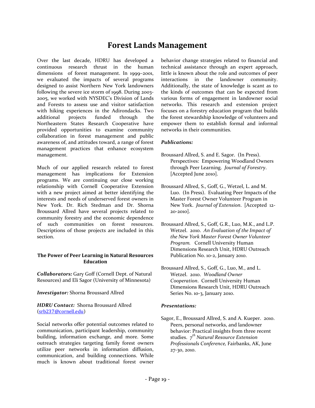# **Forest Lands Management**

<span id="page-19-0"></span>Over the last decade, HDRU has developed a continuous research thrust in the human dimensions of forest management. In 1999–2001, we evaluated the impacts of several programs designed to assist Northern New York landowners following the severe ice storm of 1998. During 2003- 2005, we worked with NYSDEC's Division of Lands and Forests to assess use and visitor satisfaction with hiking experiences in the Adirondacks. Two additional projects funded through the Northeastern States Research Cooperative have provided opportunities to examine community collaboration in forest management and public awareness of, and attitudes toward, a range of forest management practices that enhance ecosystem management.

Much of our applied research related to forest management has implications for Extension programs. We are continuing our close working relationship with Cornell Cooperative Extension with a new project aimed at better identifying the interests and needs of underserved forest owners in New York. Dr. Rich Stedman and Dr. Shorna Broussard Allred have several projects related to community forestry and the economic dependence of such communities on forest resources. Descriptions of those projects are included in this section.

#### **The Power of Peer Learning in Natural Resources Education**

*Collaborators:* Gary Goff (Cornell Dept. of Natural Resources) and Eli Sagor (University of Minnesota)

#### *Investigator:* Shorna Broussard Allred

*HDRU Contact:* Shorna Broussard Allred ([srb237@cornell.edu](mailto:srb237@cornell.edu))

Social networks offer potential outcomes related to communication, participant leadership, community building, information exchange, and more. Some outreach strategies targeting family forest owners utilize peer networks in information diffusion, communication, and building connections. While much is known about traditional forest owner behavior change strategies related to financial and technical assistance through an expert approach, little is known about the role and outcomes of peer interactions in the landowner community. Additionally, the state of knowledge is scant as to the kinds of outcomes that can be expected from various forms of engagement in landowner social networks. This research and extension project focuses on a forestry education program that builds the forest stewardship knowledge of volunteers and empower them to establish formal and informal networks in their communities.

#### *Publications:*

- Broussard Allred, S. and E. Sagor. (In Press). Perspectives: Empowering Woodland Owners through Peer Learning. *Journal of Forestry*. [Accepted June 2010].
- Broussard Allred, S., Goff, G., Wetzel, L. and M. Luo. (In Press). Evaluating Peer Impacts of the Master Forest Owner Volunteer Program in New York. *Journal of Extension*. [Accepted 12- 20-2010].
- Broussard Allred, S., Goff, G.R., Luo, M.K., and L.P. Wetzel. 2010. *An Evaluation of the Impact of the New York Master Forest Owner Volunteer Program.* Cornell University Human Dimensions Research Unit, HDRU Outreach Publication No. 10-2, January 2010.
- Broussard Allred, S., Goff, G., Luo, M., and L. Wetzel. 2010. *Woodland Owner Cooperation*. Cornell University Human Dimensions Research Unit, HDRU Outreach Series No. 10-3, January 2010.

#### *Presentations:*

Sagor, E., Broussard Allred, S. and A. Kueper. 2010. Peers, personal networks, and landowner behavior: Practical insights from three recent studies. *7 th Natural Resource Extension Professionals Conference,* Fairbanks, AK, June 27-30, 2010.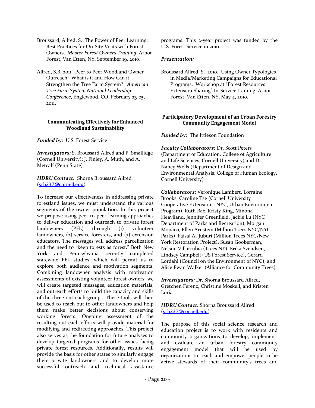- Broussard, Allred, S. The Power of Peer Learning: Best Practices for On-Site Visits with Forest Owners. *Master Forest Owners Training*, Arnot Forest, Van Etten, NY, September 19, 2010.
- Allred, S.B. 2011. Peer to Peer Woodland Owner Outreach: What is it and How Can it Strengthen the Tree Farm System? *American Tree Farm System National Leadership Conference*, Englewood, CO, February 23-25, 2011.

#### **Communicating Effectively for Enhanced Woodland Sustainability**

*Funded by:* U.S. Forest Service

*Investigators:* S. Broussard Allred and P. Smallidge (Cornell University); J. Finley, A. Muth, and A. Metcalf (Penn State)

*HDRU Contact:* Shorna Broussard Allred ([srb237@cornell.edu](mailto:srb237@cornell.edu))

To increase our effectiveness in addressing private forestland issues, we must understand the various segments of the owner population. In this project we propose using peer-to-peer learning approaches to deliver education and outreach to private forest landowners (PFL) through (1) volunteer landowners, (2) service foresters, and (3) extension educators. The messages will address parcelization and the need to "keep forests as forest." Both New York and Pennsylvania recently completed statewide PFL studies, which will permit us to explore both audience and motivation segments. Combining landowner analysis with motivation assessments of existing volunteer forest owners, we will create targeted messages, education materials, and outreach efforts to build the capacity and skills of the three outreach groups. These tools will then be used to reach out to other landowners and help them make better decisions about conserving working forests. Ongoing assessment of the resulting outreach efforts will provide material for modifying and redirecting approaches. This project also serves as the foundation for future analyses to develop targeted programs for other issues facing private forest resources. Additionally, results will provide the basis for other states to similarly engage their private landowners and to develop more successful outreach and technical assistance programs. This 2-year project was funded by the U.S. Forest Service in 2010.

#### *Presentation:*

Broussard Allred, S. 2010. Using Owner Typologies in Media/Marketing Campaigns for Educational Programs. Workshop at "Forest Resources Extension Sharing" In-Service training, Arnot Forest, Van Etten, NY, May 4, 2010.

#### **Participatory Development of an Urban Forestry Community Engagement Model**

*Funded by:* The Ittleson Foundation

*Faculty Collaborators:* Dr. Scott Peters (Department of Education, College of Agriculture and Life Sciences, Cornell University) and Dr. Nancy Wells (Department of Design and Environmental Analysis, College of Human Ecology, Cornell University)

*Collaborators:* Veronique Lambert, Lorraine Brooks, Caroline Tse (Cornell University Cooperative Extension – NYC, Urban Environment Program), Ruth Rae, Kristy King, Minona Heaviland, Jennifer Greenfield, Jackie Lu (NYC Department of Parks and Recreation), Morgan Monaco, Ellen Arnstein (Million Trees NYC/NYC Parks), Faisal Al-Juburi (Million Trees NYC/New York Restoration Project), Susan Gooberman, Nelson Villarrubia (Trees NY), Erika Svendsen, Lindsey Campbell (US Forest Service), Gerard Lordahl (Council on the Environment of NYC), and Alice Ewan Walker (Alliance for Community Trees)

*Investigators:* Dr. Shorna Broussard Allred, Gretchen Ferenz, Christine Moskell, and Kristen Loria

*HDRU Contact:* Shorna Broussard Allred ([srb237@cornell.edu](mailto:srb237@cornell.edu))

The purpose of this social science research and education project is to work with residents and community organizations to develop, implement, and evaluate an urban forestry community engagement model that will be used by organizations to reach and empower people to be active stewards of their community's trees and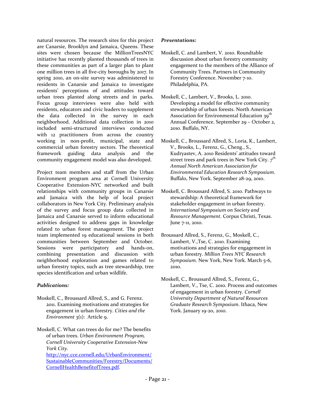natural resources. The research sites for this project are Canarsie, Brooklyn and Jamaica, Queens. These sites were chosen because the MillionTreesNYC initiative has recently planted thousands of trees in these communities as part of a larger plan to plant one million trees in all five-city boroughs by 2017. In spring 2010, an on-site survey was administered to residents in Canarsie and Jamaica to investigate residents' perceptions of and attitudes toward urban trees planted along streets and in parks. Focus group interviews were also held with residents, educators and civic leaders to supplement the data collected in the survey in each neighborhood. Additional data collection in 2010 included semi-structured interviews conducted with 12 practitioners from across the country working in non-profit, municipal, state and commercial urban forestry sectors. The theoretical framework guiding data analysis and the community engagement model was also developed.

Project team members and staff from the Urban Environment program area at Cornell University Cooperative Extension-NYC networked and built relationships with community groups in Canarsie and Jamaica with the help of local project collaborators in New York City. Preliminary analysis of the survey and focus group data collected in Jamaica and Canarsie served to inform educational activities designed to address gaps in knowledge related to urban forest management. The project team implemented 19 educational sessions in both communities between September and October. Sessions were participatory and hands-on, combining presentation and discussion with neighborhood exploration and games related to urban forestry topics, such as tree stewardship, tree species identification and urban wildlife.

#### *Publications:*

- Moskell, C., Broussard Allred, S., and G. Ferenz. 2011. Examining motivations and strategies for engagement in urban forestry. *Cities and the Environment* 3(1): Article 9.
- Moskell, C. What can trees do for me? The benefits of urban trees. *Urban Environment Program, Cornell University Cooperative Extension-New York City.*  [http://nyc.cce.cornell.edu/UrbanEnvironment/](http://nyc.cce.cornell.edu/UrbanEnvironment/SustainableCommunities/Forestry/Documents/CornellHealthBenefitofTrees.pdf) [SustainableCommunities/Forestry/Documents/](http://nyc.cce.cornell.edu/UrbanEnvironment/SustainableCommunities/Forestry/Documents/CornellHealthBenefitofTrees.pdf) [CornellHealthBenefitofTrees.pdf.](http://nyc.cce.cornell.edu/UrbanEnvironment/SustainableCommunities/Forestry/Documents/CornellHealthBenefitofTrees.pdf)

#### *Presentations:*

- Moskell, C. and Lambert, V. 2010. Roundtable discussion about urban forestry community engagement to the members of the Alliance of Community Trees. Partners in Community Forestry Conference. November 7-10. Philadelphia, PA.
- Moskell, C., Lambert, V., Brooks, L. 2010. Developing a model for effective community stewardship of urban forests. North American Association for Environmental Education  $39<sup>th</sup>$ Annual Conference. September 29 – October 2, 2010. Buffalo, NY.
- Moskell, C., Broussard Allred, S., Loria, K., Lambert, V., Brooks, L., Ferenz, G., Cheng., S., Kudryastev, A. 2010 Residents' attitudes toward street trees and park trees in New York City. *7 th Annual North American Association for Environmental Education Research Symposium*. Buffalo, New York. September 28-29, 2010.
- Moskell, C. Broussard Allred, S. 2010. Pathways to stewardship: A theoretical framework for stakeholder engagement in urban forestry. *International Symposium on Society and Resource Management*. Corpus Christi, Texas. June 7-11, 2010.
- Broussard Allred, S., Ferenz, G., Moskell, C., Lambert, V.,Tse, C. 2010. Examining motivations and strategies for engagement in urban forestry. *Million Trees NYC Research Symposium.* New York, New York. March 5-6, 2010.
- Moskell, C., Broussard Allred, S., Ferenz, G., Lambert, V., Tse, C. 2010. Process and outcomes of engagement in urban forestry. *Cornell University Department of Natural Resources Graduate Research Symposium*. Ithaca, New York. January 19-20, 2010.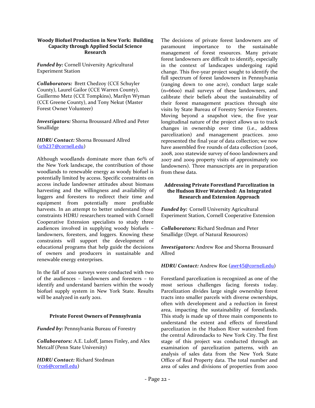#### **Woody Biofuel Production in New York: Building Capacity through Applied Social Science Research**

*Funded by:* Cornell University Agricultural Experiment Station

*Collaborators:* Brett Chedzoy (CCE Schuyler County), Laurel Gailor (CCE Warren County), Guillermo Metz (CCE Tompkins), Marilyn Wyman (CCE Greene County), and Tony Nekut (Master Forest Owner Volunteer)

*Investigators:* Shorna Broussard Allred and Peter Smallidge

*HDRU Contact:* Shorna Broussard Allred ([srb237@cornell.edu](mailto:srb237@cornell.edu))

Although woodlands dominate more than 60% of the New York landscape, the contribution of those woodlands to renewable energy as woody biofuel is potentially limited by access. Specific constraints on access include landowner attitudes about biomass harvesting and the willingness and availability of loggers and foresters to redirect their time and equipment from potentially more profitable harvests. In an attempt to better understand those constraints HDRU researchers teamed with Cornell Cooperative Extension specialists to study three audiences involved in supplying woody biofuels – landowners, foresters, and loggers. Knowing these constraints will support the development of educational programs that help guide the decisions of owners and producers in sustainable and renewable energy enterprises.

In the fall of 2010 surveys were conducted with two of the audiences – landowners and foresters – to identify and understand barriers within the woody biofuel supply system in New York State. Results will be analyzed in early 2011.

#### **Private Forest Owners of Pennsylvania**

*Funded by:* Pennsylvania Bureau of Forestry

*Collaborators:* A.E. Luloff, James Finley, and Alex Metcalf (Penn State University)

*HDRU Contact:* Richard Stedman ([rcs6@cornell.edu](mailto:rcs6@cornell.edu))

The decisions of private forest landowners are of paramount importance to the sustainable management of forest resources. Many private forest landowners are difficult to identify, especially in the context of landscapes undergoing rapid change. This five-year project sought to identify the full spectrum of forest landowners in Pennsylvania (ranging down to one acre), conduct large scale (n=6600) mail surveys of these landowners, and calibrate their beliefs about the sustainability of their forest management practices through site visits by State Bureau of Forestry Service Foresters. Moving beyond a snapshot view, the five year longitudinal nature of the project allows us to track changes in ownership over time (i.e., address parcelization) and management practices. 2010 represented the final year of data collection; we now have assembled five rounds of data collection (2006, 2008, 2010 statewide survey of 6000 landowners and 2007 and 2009 property visits of approximately 100 landowners). Three manuscripts are in preparation from these data.

#### **Addressing Private Forestland Parcelization in the Hudson River Watershed: An Integrated Research and Extension Approach**

*Funded by:* Cornell University Agricultural Experiment Station, Cornell Cooperative Extension

*Collaborators:* Richard Stedman and Peter Smallidge (Dept. of Natural Resources)

*Investigators:* Andrew Roe and Shorna Broussard Allred

*HDRU Contact:* Andrew Roe ([awr45@cornell.edu](mailto:awr45@cornell.edu))

Forestland parcelization is recognized as one of the most serious challenges facing forests today. Parcelization divides large single ownership forest tracts into smaller parcels with diverse ownerships, often with development and a reduction in forest area, impacting the sustainability of forestlands. This study is made up of three main components to understand the extent and effects of forestland parcelization in the Hudson River watershed from the central Adirondacks to New York City. The first stage of this project was conducted through an examination of parcelization patterns, with an analysis of sales data from the New York State Office of Real Property data. The total number and area of sales and divisions of properties from 2000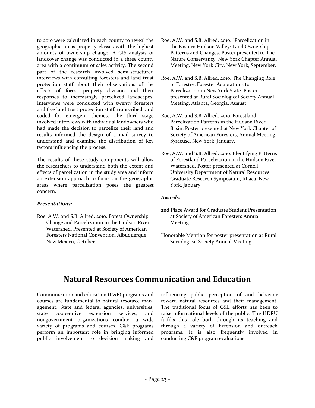to 2010 were calculated in each county to reveal the geographic areas property classes with the highest amounts of ownership change. A GIS analysis of landcover change was conducted in a three county area with a continuum of sales activity. The second part of the research involved semi-structured interviews with consulting foresters and land trust protection staff about their observations of the effects of forest property division and their responses to increasingly parcelized landscapes. Interviews were conducted with twenty foresters and five land trust protection staff, transcribed, and coded for emergent themes. The third stage involved interviews with individual landowners who had made the decision to parcelize their land and results informed the design of a mail survey to understand and examine the distribution of key factors influencing the process.

The results of these study components will allow the researchers to understand both the extent and effects of parcelization in the study area and inform an extension approach to focus on the geographic areas where parcelization poses the greatest concern.

#### *Presentations:*

Roe, A.W. and S.B. Allred. 2010. Forest Ownership Change and Parcelization in the Hudson River Watershed. Presented at Society of American Foresters National Convention, Albuquerque, New Mexico, October.

- Roe, A.W. and S.B. Allred. 2010. "Parcelization in the Eastern Hudson Valley: Land Ownership Patterns and Changes. Poster presented to The Nature Conservancy, New York Chapter Annual Meeting, New York City, New York, September.
- Roe, A.W. and S.B. Allred. 2010. The Changing Role of Forestry: Forester Adaptations to Parcelization in New York State. Poster presented at Rural Sociological Society Annual Meeting, Atlanta, Georgia, August.
- Roe, A.W. and S.B. Allred. 2010. Forestland Parcelization Patterns in the Hudson River Basin. Poster presented at New York Chapter of Society of American Foresters, Annual Meeting, Syracuse, New York, January.
- Roe, A.W. and S.B. Allred. 2010. Identifying Patterns of Forestland Parcelization in the Hudson River Watershed. Poster presented at Cornell University Department of Natural Resources Graduate Research Symposium, Ithaca, New York, January.

#### *Awards:*

- 2nd Place Award for Graduate Student Presentation at Society of American Foresters Annual Meeting.
- Honorable Mention for poster presentation at Rural Sociological Society Annual Meeting.

# **Natural Resources Communication and Education**

<span id="page-23-0"></span>Communication and education (C&E) programs and courses are fundamental to natural resource management. State and federal agencies, universities, state cooperative extension services, and nongovernment organizations conduct a wide variety of programs and courses. C&E programs perform an important role in bringing informed public involvement to decision making and influencing public perception of and behavior toward natural resources and their management. The traditional focus of C&E efforts has been to raise informational levels of the public. The HDRU fulfills this role both through its teaching and through a variety of Extension and outreach programs. It is also frequently involved in conducting C&E program evaluations.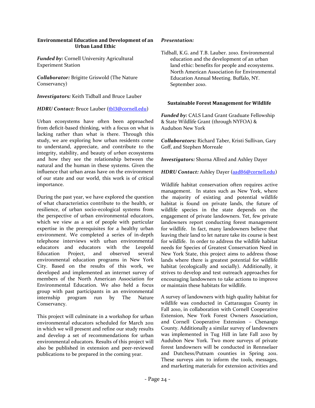#### **Environmental Education and Development of an Urban Land Ethic**

*Funded by:* Cornell University Agricultural Experiment Station

*Collaborator:* Brigitte Griswold (The Nature Conservancy)

*Investigators:* Keith Tidball and Bruce Lauber

*HDRU Contact:* Bruce Lauber ([tbl3@cornell.edu](mailto:tbl3@cornell.edu))

Urban ecosystems have often been approached from deficit-based thinking, with a focus on what is lacking rather than what is there. Through this study, we are exploring how urban residents come to understand, appreciate, and contribute to the integrity, stability, and beauty of *urban* ecosystems and how they see the relationship between the natural and the human in these systems. Given the influence that urban areas have on the environment of our state and our world, this work is of critical importance.

During the past year, we have explored the question of what characteristics contribute to the health, or resilience, of urban socio-ecological systems from the perspective of urban environmental educators, which we view as a set of people with particular expertise in the prerequisites for a healthy urban environment. We completed a series of in-depth telephone interviews with urban environmental educators and educators with the Leopold Education Project, and observed several environmental education programs in New York City. Based on the results of this work, we developed and implemented an internet survey of members of the North American Association for Environmental Education. We also held a focus group with past participants in an environmental internship program run by The Nature Conservancy.

This project will culminate in a workshop for urban environmental educators scheduled for March 2011 in which we will present and refine our study results and develop a set of recommendations for urban environmental educators. Results of this project will also be published in extension and peer-reviewed publications to be prepared in the coming year.

#### *Presentation:*

Tidball, K.G. and T.B. Lauber. 2010. Environmental education and the development of an urban land ethic: benefits for people and ecosystems. North American Association for Environmental Education Annual Meeting. Buffalo, NY. September 2010.

#### **Sustainable Forest Management for Wildlife**

*Funded by:* CALS Land Grant Graduate Fellowship & State Wildlife Grant (through NYFOA) & Audubon New York

*Collaborators:* Richard Taber, Kristi Sullivan, Gary Goff, and Stephen Morreale

*Investigators:* Shorna Allred and Ashley Dayer

*HDRU Contact:* Ashley Dayer ([aad86@cornell.edu](mailto:aad86@cornell.edu))

Wildlife habitat conservation often requires active management. In states such as New York, where the majority of existing and potential wildlife habitat is found on private lands, the future of wildlife species in the state depends on the engagement of private landowners. Yet, few private landowners report conducting forest management for wildlife. In fact, many landowners believe that leaving their land to let nature take its course is best for wildlife. In order to address the wildlife habitat needs for Species of Greatest Conservation Need in New York State, this project aims to address those lands where there is greatest potential for wildlife habitat (ecologically and socially). Additionally, it strives to develop and test outreach approaches for encouraging landowners to take actions to improve or maintain these habitats for wildlife.

A survey of landowners with high quality habitat for wildlife was conducted in Cattaraugus County in Fall 2010, in collaboration with Cornell Cooperative Extension, New York Forest Owners Association, and Cornell Cooperative Extension – Chenango County. Additionally a similar survey of landowners was implemented in Tug Hill in late Fall 2010 by Audubon New York. Two more surveys of private forest landowners will be conducted in Rennselaer and Dutchess/Putnam counties in Spring 2011. These surveys aim to inform the tools, messages, and marketing materials for extension activities and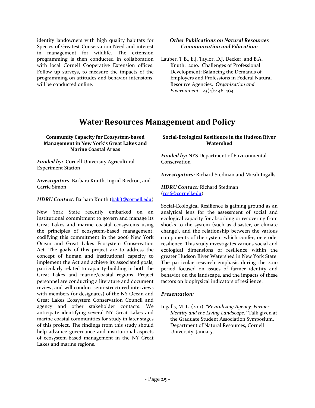identify landowners with high quality habitats for Species of Greatest Conservation Need and interest in management for wildlife. The extension programming is then conducted in collaboration with local Cornell Cooperative Extension offices. Follow up surveys, to measure the impacts of the programming on attitudes and behavior intensions, will be conducted online.

#### *Other Publications on Natural Resources Communication and Education:*

Lauber, T.B., E.J. Taylor, D.J. Decker, and B.A. Knuth. 2010. Challenges of Professional Development: Balancing the Demands of Employers and Professions in Federal Natural Resource Agencies. *Organization and Environment.* 23(4):446-464.

# **Water Resources Management and Policy**

#### <span id="page-25-0"></span>**Community Capacity for Ecosystem-based Management in New York's Great Lakes and Marine Coastal Areas**

*Funded by:* Cornell University Agricultural Experiment Station

*Investigators:* Barbara Knuth, Ingrid Biedron, and Carrie Simon

#### *HDRU Contact:* Barbara Knuth ([bak3@cornell.edu](mailto:bak3@cornell.edu))

New York State recently embarked on an institutional commitment to govern and manage its Great Lakes and marine coastal ecosystems using the principles of ecosystem-based management, codifying this commitment in the 2006 New York Ocean and Great Lakes Ecosystem Conservation Act. The goals of this project are to address the concept of human and institutional capacity to implement the Act and achieve its associated goals, particularly related to capacity-building in both the Great Lakes and marine/coastal regions. Project personnel are conducting a literature and document review, and will conduct semi-structured interviews with members (or designates) of the NY Ocean and Great Lakes Ecosystem Conservation Council and agency and other stakeholder contacts. We anticipate identifying several NY Great Lakes and marine coastal communities for study in later stages of this project. The findings from this study should help advance governance and institutional aspects of ecosystem-based management in the NY Great Lakes and marine regions.

#### **Social-Ecological Resilience in the Hudson River Watershed**

*Funded by:* NYS Department of Environmental Conservation

*Investigators:* Richard Stedman and Micah Ingalls

#### *HDRU Contact:* Richard Stedman ([rcs6@cornell.edu](mailto:rcs6@cornell.edu))

Social-Ecological Resilience is gaining ground as an analytical lens for the assessment of social and ecological capacity for absorbing or recovering from shocks to the system (such as disaster, or climate change), and the relationship between the various components of the system which confer, or erode, resilience. This study investigates various social and ecological dimensions of resilience within the greater Hudson River Watershed in New York State. The particular research emphasis during the 2010 period focused on issues of farmer identity and behavior on the landscape, and the impacts of these factors on biophysical indicators of resilience.

#### *Presentation:*

Ingalls, M. L. (2011). *"Revitalizing Agency: Farmer Identity and the Living Landscape."* Talk given at the Graduate Student Association Symposium, Department of Natural Resources, Cornell University, January.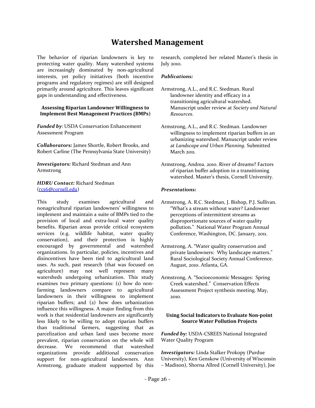# **Watershed Management**

<span id="page-26-0"></span>The behavior of riparian landowners is key to protecting water quality. Many watershed systems are increasingly dominated by non-agricultural interests, yet policy initiatives (both incentive programs and regulatory regimes) are still designed primarily around agriculture. This leaves significant gaps in understanding and effectiveness.

#### **Assessing Riparian Landowner Willingness to Implement Best Management Practices (BMPs)**

*Funded by*: USDA Conservation Enhancement Assessment Program

*Collaborators:* James Shortle, Robert Brooks, and Robert Carline (The Pennsylvania State University)

*Investigators:* Richard Stedman and Ann Armstrong

#### *HDRU Contact:* Richard Stedman ([rcs6@cornell.edu](mailto:rcs6@cornell.edu))

This study examines agricultural and nonagricultural riparian landowners' willingness to implement and maintain a suite of BMPs tied to the provision of local and extra-local water quality benefits. Riparian areas provide critical ecosystem services (e.g. wildlife habitat, water quality conservation), and their protection is highly encouraged by governmental and watershed organizations. In particular, policies, incentives and disincentives have been tied to agricultural land uses. As such, past research (that was focused on agriculture) may not well represent many watersheds undergoing urbanization. This study examines two primary questions: (1) how do nonfarming landowners compare to agricultural landowners in their willingness to implement riparian buffers; and (2) how does urbanization influence this willingness. A major finding from this work is that residential landowners are significantly less likely to be willing to adopt riparian buffers than traditional farmers, suggesting that as parcelization and urban land uses become more prevalent, riparian conservation on the whole will decrease. We recommend that watershed organizations provide additional conservation support for non-agricultural landowners. Ann Armstrong, graduate student supported by this

research, completed her related Master's thesis in July 2010.

#### *Publications:*

- Armstrong, A.L., and R.C. Stedman. Rural landowner identity and efficacy in a transitioning agricultural watershed. Manuscript under review at *Society and Natural Resources.*
- Armstrong, A.L., and R.C. Stedman. Landowner willingness to implement riparian buffers in an urbanizing watershed. Manuscript under review at *Landscape and Urban Planning.* Submitted March 2011*.*
- Armstrong, Andrea. 2010. River of dreams? Factors of riparian buffer adoption in a transitioning watershed. Master's thesis, Cornell University*.*

#### *Presentations:*

- Armstrong, A. R.C. Stedman, J. Bishop, P.J. Sullivan. "What's a stream without water? Landowner perceptions of intermittent streams as disproportionate sources of water quality pollution." National Water Program Annual Conference, Washington, DC. January, 2011.
- Armstrong, A. "Water quality conservation and private landowners: Why landscape matters." Rural Sociological Society Annual Conference. August, 2010. Atlanta, GA.
- Armstrong, A. "Socioeconomic Messages: Spring Creek watershed." Conservation Effects Assessment Project synthesis meeting. May, 2010.

#### **Using Social Indicators to Evaluate Non-point Source Water Pollution Projects**

*Funded by:* USDA-CSREES National Integrated Water Quality Program

*Investigators:* Linda Stalker Prokopy (Purdue University), Ken Genskow (University of Wisconsin – Madison), Shorna Allred (Cornell University), Joe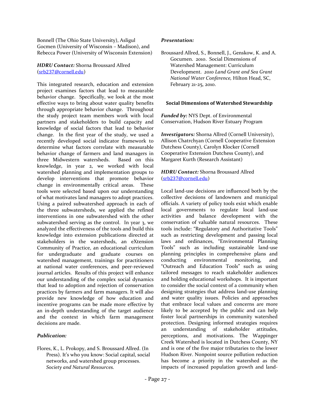Bonnell (The Ohio State University), Asligul Gocmen (University of Wisconsin – Madison), and Rebecca Power (University of Wisconsin Extension)

#### *HDRU Contact:* Shorna Broussard Allred ([srb237@cornell.edu](mailto:srb237@cornell.edu))

This integrated research, education and extension project examines factors that lead to measurable behavior change. Specifically, we look at the most effective ways to bring about water quality benefits through appropriate behavior change. Throughout the study project team members work with local partners and stakeholders to build capacity and knowledge of social factors that lead to behavior change. In the first year of the study, we used a recently developed social indicator framework to determine what factors correlate with measurable behavior change of farmers and land managers in three Midwestern watersheds. Based on this knowledge, in year 2, we worked with local watershed planning and implementation groups to develop interventions that promote behavior change in environmentally critical areas. These tools were selected based upon our understanding of what motivates land managers to adopt practices. Using a paired subwatershed approach in each of the three subwatersheds, we applied the refined interventions in one subwatershed with the other subwatershed serving as the control. In year 3, we analyzed the effectiveness of the tools and build this knowledge into extension publications directed at stakeholders in the watersheds, an eXtension Community of Practice, an educational curriculum for undergraduate and graduate courses on watershed management, trainings for practitioners at national water conferences, and peer-reviewed journal articles. Results of this project will enhance our understanding of the complex social dynamics that lead to adoption and rejection of conservation practices by farmers and farm managers. It will also provide new knowledge of how education and incentive programs can be made more effective by an in-depth understanding of the target audience and the context in which farm management decisions are made.

#### *Publication:*

Flores, K., L. Prokopy, and S. Broussard Allred. (In Press). It's who you know: Social capital, social networks, and watershed group processes. *Society and Natural Resources.*

#### *Presentation:*

Broussard Allred, S., Bonnell, J., Genskow, K. and A. Gocumen. 2010. Social Dimensions of Watershed Management: Curriculum Development. *2010 Land Grant and Sea Grant National Water Conference,* Hilton Head, SC, February 21-25, 2010.

#### **Social Dimensions of Watershed Stewardship**

*Funded by:* NYS Dept. of Environmental Conservation, Hudson River Estuary Program

*Investigators:* Shorna Allred (Cornell University), Allison Chatrchyan (Cornell Cooperative Extension Dutchess County), Carolyn Klocker (Cornell Cooperative Extension Dutchess County), and Margaret Kurth (Research Assistant)

#### *HDRU Contact:* Shorna Broussard Allred ([srb237@cornell.edu](mailto:srb237@cornell.edu))

Local land-use decisions are influenced both by the collective decisions of landowners and municipal officials. A variety of policy tools exist which enable local governments to regulate local land-use activities and balance development with the conservation of valuable natural resources. These tools include: "Regulatory and Authoritative Tools" such as restricting development and passing local laws and ordinances, "Environmental Planning Tools" such as including sustainable land-use planning principles in comprehensive plans and conducting environmental monitoring, and "Outreach and Education Tools" such as using tailored messages to reach stakeholder audiences and holding educational workshops. It is important to consider the social context of a community when designing strategies that address land-use planning and water quality issues. Policies and approaches that embrace local values and concerns are more likely to be accepted by the public and can help foster local partnerships in community watershed protection. Designing informed strategies requires an understanding of stakeholder attitudes, perceptions, and motivations. The Wappinger Creek Watershed is located in Dutchess County, NY and is one of the five major tributaries to the lower Hudson River. Nonpoint source pollution reduction has become a priority in the watershed as the impacts of increased population growth and land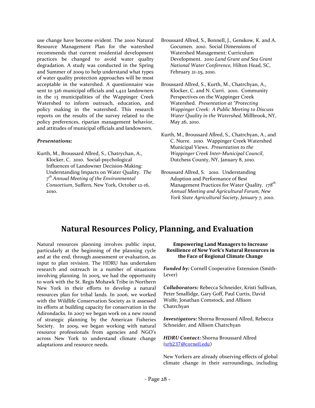use change have become evident. The 2000 Natural Resource Management Plan for the watershed recommends that current residential development practices be changed to avoid water quality degradation. A study was conducted in the Spring and Summer of 2009 to help understand what types of water quality protection approaches will be most acceptable in the watershed. A questionnaire was sent to 326 municipal officials and 1,422 landowners in the 13 municipalities of the Wappinger Creek Watershed to inform outreach, education, and policy making in the watershed. This research reports on the results of the survey related to the policy preferences, riparian management behavior, and attitudes of municipal officials and landowners.

#### *Presentations:*

Kurth, M., Broussard Allred, S., Chatrychan, A., Klocker, C. 2010. Social-psychological Influences of Landowner Decision-Making: Understanding Impacts on Water Quality. *The 7 th Annual Meeting of the Environmental Consortium*, Suffern, New York, October 12-16, 2010.

- Broussard Allred, S., Bonnell, J., Genskow, K. and A. Gocumen. 2010. Social Dimensions of Watershed Management: Curriculum Development. *2010 Land Grant and Sea Grant National Water Conference,* Hilton Head, SC, February 21-25, 2010.
- Broussard Allred, S., Kurth, M., Chatrchyan, A., Klocker, C. and N. Curri. 2010. Community Perspectives on the Wappinger Creek Watershed. *Presentation at "Protecting Wappinger Creek: A Public Meeting to Discuss Water Quality in the Watershed,* Millbrook, NY, May 26, 2010.
- Kurth, M., Broussard Allred, S., Chatrchyan, A., and C. Nurre. 2010. Wappinger Creek Watershed Municipal Views. *Presentation to the Wappinger Creek Inter-Municipal Council*, Dutchess County, NY, January 8, 2010.
- Broussard Allred, S. 2010. Understanding Adoption and Performance of Best Management Practices for Water Quality. *178th Annual Meeting and Agricultural Forum, New York State Agricultural Society, January 7, 2010*.

# **Natural Resources Policy, Planning, and Evaluation**

<span id="page-28-0"></span>Natural resources planning involves public input, particularly at the beginning of the planning cycle and at the end, through assessment or evaluation, as input to plan revision. The HDRU has undertaken research and outreach in a number of situations involving planning. In 2005, we had the opportunity to work with the St. Regis Mohawk Tribe in Northern New York in their efforts to develop a natural resources plan for tribal lands. In 2006, we worked with the Wildlife Conservation Society as it assessed its efforts at building capacity for conservation in the Adirondacks. In 2007 we began work on a new round of strategic planning by the American Fisheries Society. In 2009, we began working with natural resource professionals from agencies and NGO's across New York to understand climate change adaptations and resource needs.

#### **Empowering Land Managers to Increase Resilience of New York's Natural Resources in the Face of Regional Climate Change**

*Funded by:* Cornell Cooperative Extension (Smith-Lever)

*Collaborators:* Rebecca Schneider, Kristi Sullivan, Peter Smallidge, Gary Goff, Paul Curtis, David Wolfe, Jonathan Comstock, and Allison Chatrchyan

*Investigators:* Shorna Broussard Allred, Rebecca Schneider, and Allison Chatrchyan

*HDRU Contact:* Shorna Broussard Allred ([srb237@cornell.edu](mailto:srb237@cornell.edu))

New Yorkers are already observing effects of global climate change in their surroundings, including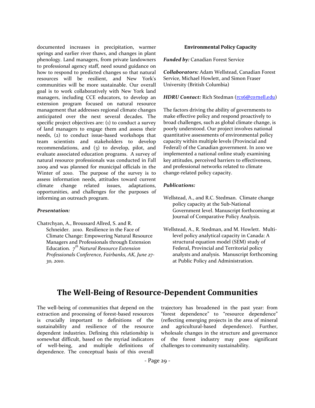documented increases in precipitation, warmer springs and earlier river thaws, and changes in plant phenology. Land managers, from private landowners to professional agency staff, need sound guidance on how to respond to predicted changes so that natural resources will be resilient, and New York's communities will be more sustainable. Our overall goal is to work collaboratively with New York land managers, including CCE educators, to develop an extension program focused on natural resource management that addresses regional climate changes anticipated over the next several decades. The specific project objectives are: (1) to conduct a survey of land managers to engage them and assess their needs, (2) to conduct issue-based workshops that team scientists and stakeholders to develop recommendations, and (3) to develop, pilot, and evaluate associated education programs. A survey of natural resource professionals was conducted in Fall 2009 and was planned for municipal officials in the Winter of 2010. The purpose of the survey is to assess information needs, attitudes toward current climate change related issues, adaptations, opportunities, and challenges for the purposes of informing an outreach program.

#### *Presentation:*

Chatrchyan, A., Broussard Allred, S. and R. Schneider. 2010.Resilience in the Face of Climate Change: Empowering Natural Resource Managers and Professionals through Extension Education*. 7 th Natural Resource Extension Professionals Conference, Fairbanks, AK, June 27- 30, 2010*.

#### **Environmental Policy Capacity**

*Funded by:* Canadian Forest Service

*Collaborators:* Adam Wellstead, Canadian Forest Service, Michael Howlett, and Simon Fraser University (British Columbia)

#### *HDRU Contact:* Rich Stedman ([rcs6@cornell.edu](mailto:rcs6@cornell.edu))

The factors driving the ability of governments to make effective policy and respond proactively to broad challenges, such as global climate change, is poorly understood. Our project involves national quantitative assessments of environmental policy capacity within multiple levels (Provincial and Federal) of the Canadian government. In 2010 we implemented a national online study examining key attitudes, perceived barriers to effectiveness, and professional networks related to climate change-related policy capacity.

#### *Publications:*

- Wellstead, A., and R.C. Stedman. Climate change policy capacity at the Sub-National Government level. Manuscript forthcoming at Journal of Comparative Policy Analysis.
- Wellstead, A., R. Stedman, and M. Howlett. Multilevel policy analytical capacity in Canada: A structural equation model (SEM) study of Federal, Provincial and Territorial policy analysts and analysis. Manuscript forthcoming at Public Policy and Administration.

# **The Well-Being of Resource-Dependent Communities**

<span id="page-29-0"></span>The well-being of communities that depend on the extraction and processing of forest-based resources is crucially important to definitions of the sustainability and resilience of the resource dependent industries. Defining this relationship is somewhat difficult, based on the myriad indicators of well-being, and multiple definitions of dependence. The conceptual basis of this overall trajectory has broadened in the past year: from "forest dependence" to "resource dependence" (reflecting emerging projects in the area of mineral and agricultural-based dependence). Further, wholesale changes in the structure and governance of the forest industry may pose significant challenges to community sustainability.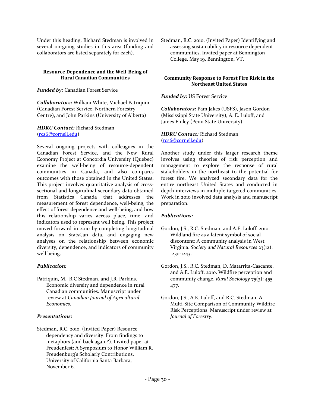Under this heading, Richard Stedman is involved in several on-going studies in this area (funding and collaborators are listed separately for each).

#### **Resource Dependence and the Well-Being of Rural Canadian Communities**

*Funded by:* Canadian Forest Service

*Collaborators:* William White, Michael Patriquin (Canadian Forest Service, Northern Forestry Centre), and John Parkins (University of Alberta)

#### *HDRU Contact:* Richard Stedman ([rcs6@cornell.edu](mailto:rcs6@cornell.edu))

Several ongoing projects with colleagues in the Canadian Forest Service, and the New Rural Economy Project at Concordia University (Quebec) examine the well-being of resource-dependent communities in Canada, and also compares outcomes with those obtained in the United States. This project involves quantitative analysis of crosssectional and longitudinal secondary data obtained from Statistics Canada that addresses the measurement of forest dependence, well-being, the effect of forest dependence and well-being, and how this relationship varies across place, time, and indicators used to represent well being. This project moved forward in 2010 by completing longitudinal analysis on StatsCan data, and engaging new analyses on the relationship between economic diversity, dependence, and indicators of community well being.

#### *Publication:*

Patriquin, M., R.C Stedman, and J.R. Parkins. Economic diversity and dependence in rural Canadian communities. Manuscript under review at *Canadian Journal of Agricultural Economics*.

#### *Presentations:*

Stedman, R.C. 2010. (Invited Paper) Resource dependency and diversity: From findings to metaphors (and back again?). Invited paper at Freudenfest: A Symposium to Honor William R. Freudenburg's Scholarly Contributions. University of California Santa Barbara, November 6.

Stedman, R.C. 2010. (Invited Paper) Identifying and assessing sustainability in resource dependent communities. Invited paper at Bennington College. May 19, Bennington, VT.

#### **Community Response to Forest Fire Risk in the Northeast United States**

#### *Funded by:* US Forest Service

*Collaborators:* Pam Jakes (USFS), Jason Gordon (Mississippi State University), A. E. Luloff, and James Finley (Penn State University)

#### *HDRU Contact:* Richard Stedman ([rcs6@cornell.edu](mailto:rcs6@cornell.edu))

Another study under this larger research theme involves using theories of risk perception and management to explore the response of rural stakeholders in the northeast to the potential for forest fire. We analyzed secondary data for the entire northeast United States and conducted in depth interviews in multiple targeted communities. Work in 2010 involved data analysis and manuscript preparation.

#### *Publications:*

- Gordon, J.S., R.C. Stedman, and A.E. Luloff. 2010. Wildland fire as a latent symbol of social discontent: A community analysis in West Virginia. *Society and Natural Resources* 23(12): 1230-1243.
- Gordon, J.S., R.C. Stedman, D. Matarrita-Cascante, and A.E. Luloff. 2010. Wildfire perception and community change. *Rural Sociology* 75(3): 455– 477.
- Gordon, J.S., A.E. Luloff, and R.C. Stedman. A Multi-Site Comparison of Community Wildfire Risk Perceptions. Manuscript under review at *Journal of Forestry*.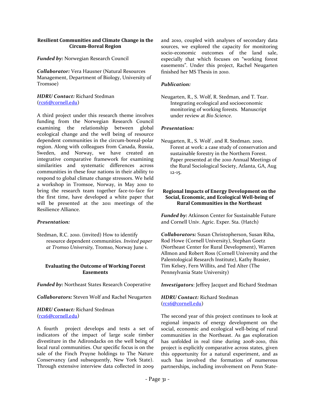#### **Resilient Communities and Climate Change in the Circum-Boreal Region**

*Funded by:* Norwegian Research Council

*Collaborator:* Vera Hausner (Natural Resources Management, Department of Biology, University of Tromsoe)

#### *HDRU Contact:* Richard Stedman ([rcs6@cornell.edu](mailto:rcs6@cornell.edu))

A third project under this research theme involves funding from the Norwegian Research Council examining the relationship between global ecological change and the well being of resource dependent communities in the circum-boreal-polar region. Along with colleagues from Canada, Russia, Sweden, and Norway, we have created an integrative comparative framework for examining similarities and systematic differences across communities in these four nations in their ability to respond to global climate change stressors. We held a workshop in Tromsoe, Norway, in May 2010 to bring the research team together face-to-face for the first time, have developed a white paper that will be presented at the 2011 meetings of the Resilience Alliance.

#### *Presentation:*

Stedman, R.C. 2010. (invited) How to identify resource dependent communities. *Invited paper at Tromso University,* Tromso, Norway June 1.

#### **Evaluating the Outcome of Working Forest Easements**

*Funded by:* Northeast States Research Cooperative

*Collaborators:* Steven Wolf and Rachel Neugarten

#### *HDRU Contact:* Richard Stedman ([rcs6@cornell.edu](mailto:rcs6@cornell.edu))

A fourth project develops and tests a set of indicators of the impact of large scale timber divestiture in the Adirondacks on the well being of local rural communities. Our specific focus is on the sale of the Finch Pruyne holdings to The Nature Conservancy (and subsequently, New York State). Through extensive interview data collected in 2009 and 2010, coupled with analyses of secondary data sources, we explored the capacity for monitoring socio-economic outcomes of the land sale, especially that which focuses on "working forest easements". Under this project, Rachel Neugarten finished her MS Thesis in 2010.

#### *Publication:*

Neugarten, R., S. Wolf, R. Stedman, and T. Tear. Integrating ecological and socioeconomic monitoring of working forests. Manuscript under review at *Bio Science*.

#### *Presentation:*

Neugarten, R., S. Wolf , and R. Stedman. 2010. Forest at work: a case study of conservation and sustainable forestry in the Northern Forest. Paper presented at the 2010 Annual Meetings of the Rural Sociological Society, Atlanta, GA, Aug 12-15.

#### **Regional Impacts of Energy Development on the Social, Economic, and Ecological Well-being of Rural Communities in the Northeast**

*Funded by:* Atkinson Center for Sustainable Future and Cornell Univ. Agric. Exper. Sta. (Hatch)

*Collaborators:* Susan Christopherson, Susan Riha, Rod Howe (Cornell University), Stephan Goetz (Northeast Center for Rural Development), Warren Allmon and Robert Ross (Cornell University and the Palentological Research Institute), Kathy Brasier, Tim Kelsey, Fern Willits, and Ted Alter (The Pennsylvania State University)

*Investigators*: Jeffrey Jacquet and Richard Stedman

#### *HDRU Contact:* Richard Stedman ([rcs6@cornell.edu](mailto:rcs6@cornell.edu))

The second year of this project continues to look at regional impacts of energy development on the social, economic and ecological well-being of rural communities in the Northeast. As gas exploration has unfolded in real time during 2008-2010, this project is explicitly comparative across states, given this opportunity for a natural experiment, and as such has involved the formation of numerous partnerships, including involvement on Penn State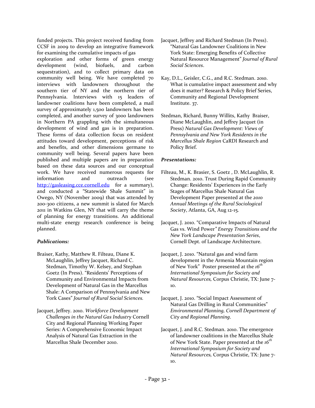funded projects. This project received funding from CCSF in 2009 to develop an integrative framework for examining the cumulative impacts of gas exploration and other forms of green energy development (wind, biofuels, and carbon sequestration), and to collect primary data on community well being. We have completed 70 interviews with landowners throughout the southern tier of NY and the northern tier of Pennsylvania. Interviews with 15 leaders of landowner coalitions have been completed, a mail survey of approximately 1,500 landowners has been completed, and another survey of 3000 landowners in Northern PA grappling with the simultaneous development of wind and gas is in preparation. These forms of data collection focus on resident attitudes toward development, perceptions of risk and benefits, and other dimensions germane to community well being. Several papers have been published and multiple papers are in preparation based on these data sources and our conceptual work. We have received numerous requests for information and outreach (see [http://gasleasing.cce.cornell.edu](http://gasleasing.cce.cornell.edu/) for a summary), and conducted a "Statewide Shale Summit" in Owego, NY (November 2009) that was attended by 200-300 citizens, a new summit is slated for March 2011 in Watkins Glen, NY that will carry the theme of planning for energy transitions. An additional multi-state energy research conference is being planned.

#### *Publications:*

- Braiser, Kathy, Matthew R. Filteau, Diane K. McLaughlin, Jeffrey Jacquet, Richard C. Stedman, Timothy W. Kelsey, and Stephan Goetz (In Press). "Residents' Perceptions of Community and Environmental Impacts from Development of Natural Gas in the Marcellus Shale: A Comparison of Pennsylvania and New York Cases" *Journal of Rural Social Sciences.*
- Jacquet, Jeffrey. 2010. *Workforce Development Challenges in the Natural Gas Industry* Cornell City and Regional Planning Working Paper Series: A Comprehensive Economic Impact Analysis of Natural Gas Extraction in the Marcellus Shale December 2010.
- Jacquet, Jeffrey and Richard Stedman (In Press). "Natural Gas Landowner Coalitions in New York State: Emerging Benefits of Collective Natural Resource Management" *Journal of Rural Social Sciences*.
- Kay, D.L., Geisler, C.G., and R.C. Stedman. 2010. What is cumulative impact assessment and why does it matter? Research & Policy Brief Series, Community and Regional Development Institute. 37.
- Stedman, Richard, Bunny Willits, Kathy Braiser, Diane McLaughlin, and Jeffrey Jacquet (in Press) *Natural Gas Development: Views of Pennsylvania and New York Residents in the Marcellus Shale Region* CaRDI Research and Policy Brief.

#### *Presentations:*

- Filteau, M., K. Brasier, S. Goetz , D. McLaughlin, R. Stedman. 2010. Trust During Rapid Community Change: Residents' Experiences in the Early Stages of Marcellus Shale Natural Gas Development Paper presented at the *2010 Annual Meetings of the Rural Sociological Society*, Atlanta, GA, Aug 12-15.
- Jacquet, J. 2010. "Comparative Impacts of Natural Gas vs. Wind Power*" Energy Transitions and the New York Landscape Presentation Series*, Cornell Dept. of Landscape Architecture.
- Jacquet, J. 2010. "Natural gas and wind farm development in the Armenia Mountain region of New York" Poster presented at the *16th International Symposium for Society and Natural Resources,* Corpus Christie, TX: June 7- 10.
- Jacquet, J. 2010. "Social Impact Assessment of Natural Gas Drilling in Rural Communities" *Environmental Planning, Cornell Department of City and Regional Planning*.
- Jacquet, J. and R.C. Stedman. 2010. The emergence of landowner coalitions in the Marcellus Shale of New York State. Paper presented at the *16th International Symposium for Society and Natural Resources,* Corpus Christie, TX: June 7- 10.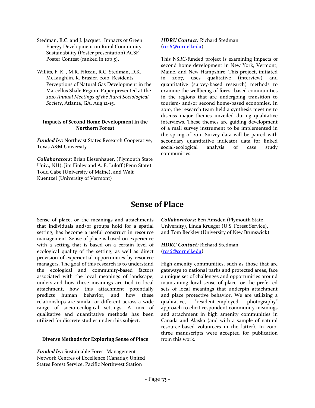- Stedman, R.C. and J. Jacquet. Impacts of Green Energy Development on Rural Community Sustainability (Poster presentation) ACSF Poster Contest (ranked in top 5).
- Willits, F. K. , M.R. Filteau, R.C. Stedman, D.K. McLaughlin, K. Brasier. 2010. Residents' Perceptions of Natural Gas Development in the Marcellus Shale Region. Paper presented at the *2010 Annual Meetings of the Rural Sociological Society*, Atlanta, GA, Aug 12-15.

#### **Impacts of Second Home Development in the Northern Forest**

*Funded by:* Northeast States Research Cooperative, Texas A&M University

*Collaborators:* Brian Eiesenhauer, (Plymouth State Univ., NH), Jim Finley and A. E. Luloff (Penn State) Todd Gabe (University of Maine), and Walt Kuentzel (University of Vermont)

#### *HDRU Contact:* Richard Stedman ([rcs6@cornell.edu](mailto:rcs6@cornell.edu))

This NSRC-funded project is examining impacts of second home development in New York, Vermont, Maine, and New Hampshire. This project, initiated in 2007, uses qualitative (interview) and quantitative (survey-based research) methods to examine the wellbeing of forest-based communities in the regions that are undergoing transition to tourism- and/or second home-based economies. In 2010, the research team held a synthesis meeting to discuss major themes unveiled during qualitative interviews. These themes are guiding development of a mail survey instrument to be implemented in the spring of 2011. Survey data will be paired with secondary quantitative indicator data for linked social-ecological analysis of case study communities.

# **Sense of Place**

<span id="page-33-0"></span>Sense of place, or the meanings and attachments that individuals and/or groups hold for a spatial setting, has become a useful construct in resource management. Sense of place is based on experience with a setting that is based on a certain level of ecological quality of the setting, as well as direct provision of experiential opportunities by resource managers. The goal of this research is to understand the ecological and community-based factors associated with the local meanings of landscape, understand how these meanings are tied to local attachment, how this attachment potentially predicts human behavior, and how these relationships are similar or different across a wide range of socio-ecological settings. A mix of qualitative and quantitative methods has been utilized for discrete studies under this subject.

#### **Diverse Methods for Exploring Sense of Place**

*Funded by:* Sustainable Forest Management Network Centres of Excellence (Canada); United States Forest Service, Pacific Northwest Station

*Collaborators:* Ben Amsden (Plymouth State University), Linda Krueger (U.S. Forest Service), and Tom Beckley (University of New Brunswick)

*HDRU Contact:* Richard Stedman ([rcs6@cornell.edu](mailto:rcs6@cornell.edu))

High amenity communities, such as those that are gateways to national parks and protected areas, face a unique set of challenges and opportunities around maintaining local sense of place, or the preferred sets of local meanings that underpin attachment and place protective behavior. We are utilizing a qualitative, "resident-employed photography" approach to elicit respondent community meanings and attachment in high amenity communities in Canada and Alaska (and with a sample of natural resource-based volunteers in the latter). In 2010, three manuscripts were accepted for publication from this work.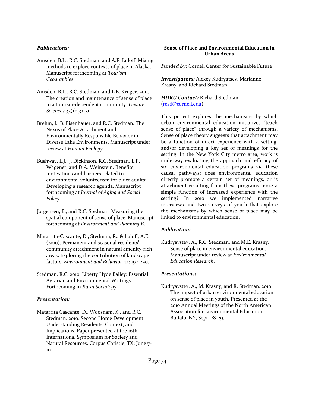#### *Publications:*

- Amsden, B.L., R.C. Stedman, and A.E. Luloff. Mixing methods to explore contexts of place in Alaska. Manuscript forthcoming at *Tourism Geographies*.
- Amsden, B.L., R.C. Stedman, and L.E. Kruger. 2011. The creation and maintenance of sense of place in a tourism-dependent community. *Leisure Sciences* 33(1): 32-51.
- Brehm, J., B. Eisenhauer, and R.C. Stedman. The Nexus of Place Attachment and Environmentally Responsible Behavior in Diverse Lake Environments. Manuscript under review at *Human Ecology*.
- Bushway, L.J., J. Dickinson, R.C. Stedman, L.P. Wagenet, and D.A. Weinstein. Benefits, motivations and barriers related to environmental volunteerism for older adults: Developing a research agenda. Manuscript forthcoming at *Journal of Aging and Social Policy*.
- Jorgensen, B., and R.C. Stedman. Measuring the spatial component of sense of place. Manuscript forthcoming at *Environment and Planning B*.
- Matarrita-Cascante, D., Stedman, R., & Luloff, A.E. (2010). Permanent and seasonal residents' community attachment in natural amenity-rich areas: Exploring the contribution of landscape factors. *Environment and Behavior* 42: 197-220.
- Stedman, R.C. 2010. Liberty Hyde Bailey: Essential Agrarian and Environmental Writings. Forthcoming in *Rural Sociology*.

#### *Presentation:*

Matarrita Cascante, D., Woosnam, K., and R.C. Stedman. 2010. Second Home Development: Understanding Residents, Context, and Implications. Paper presented at the 16th International Symposium for Society and Natural Resources, Corpus Christie, TX: June 7- 10.

#### **Sense of Place and Environmental Education in Urban Areas**

*Funded by:* Cornell Center for Sustainable Future

*Investigators:* Alexey Kudryatsev, Marianne Krasny, and Richard Stedman

*HDRU Contact:* Richard Stedman ([rcs6@cornell.edu](mailto:rcs6@cornell.edu))

This project explores the mechanisms by which urban environmental education initiatives "teach sense of place" through a variety of mechanisms. Sense of place theory suggests that attachment may be a function of direct experience with a setting, and/or developing a key set of meanings for the setting. In the New York City metro area, work is underway evaluating the approach and efficacy of six environmental education programs via these causal pathways: does environmental education directly promote a certain set of meanings, or is attachment resulting from these programs more a simple function of increased experience with the setting? In 2010 we implemented narrative interviews and two surveys of youth that explore the mechanisms by which sense of place may be linked to environmental education.

#### *Publication:*

Kudryavstev, A., R.C. Stedman, and M.E. Krasny. Sense of place in environmental education. Manuscript under review at *Environmental Education Research*.

#### *Presentations:*

Kudryavstev, A., M. Krasny, and R. Stedman. 2010. The impact of urban environmental education on sense of place in youth. Presented at the 2010 Annual Meetings of the North American Association for Environmental Education, Buffalo, NY, Sept 28-29.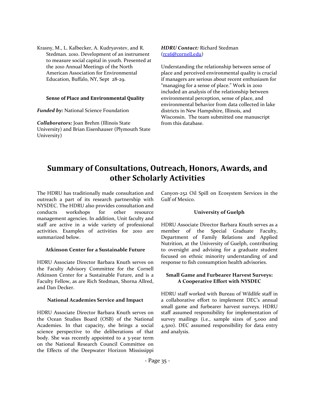Krasny, M., L. Kalbecker, A. Kudryavstev, and R. Stedman. 2010. Development of an instrument to measure social capital in youth. Presented at the 2010 Annual Meetings of the North American Association for Environmental Education, Buffalo, NY, Sept 28-29.

#### **Sense of Place and Environmental Quality**

*Funded by:* National Science Foundation

*Collaborators:* Joan Brehm (Illinois State University) and Brian Eisenhauser (Plymouth State University)

#### *HDRU Contact:* Richard Stedman ([rcs6@cornell.edu](mailto:rcs6@cornell.edu))

Understanding the relationship between sense of place and perceived environmental quality is crucial if managers are serious about recent enthusiasm for "managing for a sense of place." Work in 2010 included an analysis of the relationship between environmental perception, sense of place, and environmental behavior from data collected in lake districts in New Hampshire, Illinois, and Wisconsin. The team submitted one manuscript from this database.

# <span id="page-35-0"></span>**Summary of Consultations, Outreach, Honors, Awards, and other Scholarly Activities**

The HDRU has traditionally made consultation and outreach a part of its research partnership with NYSDEC. The HDRU also provides consultation and conducts workshops for other resource management agencies. In addition, Unit faculty and staff are active in a wide variety of professional activities. Examples of activities for 2010 are summarized below.

#### **Atkinson Center for a Sustainable Future**

HDRU Associate Director Barbara Knuth serves on the Faculty Advisory Committee for the Cornell Atkinson Center for a Sustainable Future, and is a Faculty Fellow, as are Rich Stedman, Shorna Allred, and Dan Decker.

#### **National Academies Service and Impact**

HDRU Associate Director Barbara Knuth serves on the Ocean Studies Board (OSB) of the National Academies. In that capacity, she brings a social science perspective to the deliberations of that body. She was recently appointed to a 3-year term on the National Research Council Committee on the Effects of the Deepwater Horizon Mississippi Canyon-252 Oil Spill on Ecosystem Services in the Gulf of Mexico.

#### **University of Guelph**

HDRU Associate Director Barbara Knuth serves as a member of the Special Graduate Faculty, Department of Family Relations and Applied Nutrition, at the University of Guelph, contributing to oversight and advising for a graduate student focused on ethnic minority understanding of and response to fish consumption health advisories.

#### **Small Game and Furbearer Harvest Surveys: A Cooperative Effort with NYSDEC**

HDRU staff worked with Bureau of Wildlife staff in a collaborative effort to implement DEC's annual small game and furbearer harvest surveys. HDRU staff assumed responsibility for implementation of survey mailings (i.e., sample sizes of 5,000 and 4,500). DEC assumed responsibility for data entry and analysis.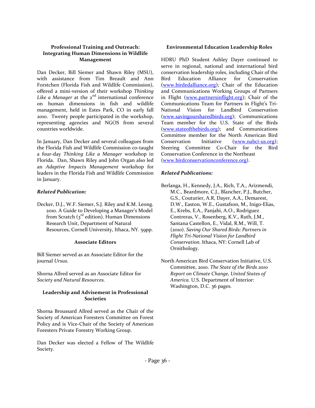#### **Professional Training and Outreach: Integrating Human Dimensions in Wildlife Management**

Dan Decker, Bill Siemer and Shawn Riley (MSU), with assistance from Tim Breault and Ann Forstchen (Florida Fish and Wildlife Commission), offered a mini-version of their workshop *Thinking*  Like a Manager at the 2<sup>nd</sup> international conference on human dimensions in fish and wildlife management, held in Estes Park, CO in early fall 2010. Twenty people participated in the workshop, representing agencies and NGOS from several countries worldwide.

In January, Dan Decker and several colleagues from the Florida Fish and Wildlife Commission co-taught a four-day *Thinking Like a Manager* workshop in Florida. Dan, Shawn Riley and John Organ also led an *Adaptive Impacts Management* workshop for leaders in the Florida Fish and Wildlife Commission in January.

#### *Related Publication:*

Decker, D.J., W.F. Siemer, S.J. Riley and K.M. Leong. 2010. A Guide to Developing a Manager's Model from Scratch  $(3<sup>rd</sup>$  edition). Human Dimensions Research Unit, Department of Natural Resources, Cornell University, Ithaca, NY. 59pp.

#### **Associate Editors**

Bill Siemer served as an Associate Editor for the journal *Ursus.*

Shorna Allred served as an Associate Editor for *Society and Natural Resources.*

#### **Leadership and Advisement in Professional Societies**

Shorna Broussard Allred served as the Chair of the Society of American Foresters Committee on Forest Policy and is Vice-Chair of the Society of American Foresters Private Forestry Working Group.

Dan Decker was elected a Fellow of The Wildlife Society.

#### **Environmental Education Leadership Roles**

HDRU PhD Student Ashley Dayer continued to serve in regional, national and international bird conservation leadership roles, including Chair of the Bird Education Alliance for Conservation [\(www.birdedalliance.org\)](http://www.birdedalliance.org/); Chair of the Education and Communications Working Groups of Partners in Flight [\(www.partnersinflight.org\)](http://www.partnersinflight.org/); Chair of the Communications Team for Partners in Flight's Tri-National Vision for Landbird Conservation [\(www.savingoursharedbirds.org\)](http://www.savingoursharedbirds.org/); Communications Team member for the U.S. State of the Birds [\(www.stateofthebirds.org\)](http://www.stateofthebirds.org/); and Communications Committee member for the North American Bird Conservation Initiative [\(www.nabci-us.org\)](http://www.nabci-us.org/); Steering Committee Co-Chair for the Bird Conservation Conference in the Northeast [\(www.birdconservationconference.org\)](http://www.birdconservationconference.org/).

#### *Related Publications:*

- Berlanga, H., Kennedy, J.A., Rich, T.A., Arizmendi, M.C., Beardmore, C.J., Blancher, P.J., Butcher, G.S., Couturier, A.R, Dayer, A.A., Demarest, D.W., Easton, W.E., Gustafson, M., Inigo-Elias, E., Krebs, E.A., Panjabi, A.O., Rodriguez Contreras, V., Rosenberg, K.V., Ruth, J.M., Santana Castellon, E., Vidal, R.M., Will, T. (2010). *Saving Our Shared Birds: Partners in Flight Tri-National Vision for Landbird Conservation.* Ithaca, NY: Cornell Lab of Ornithology.
- North American Bird Conservation Initiative, U.S. Committee, 2010. *The State of the Birds 2010 Report on Climate Change, United States of America.* U.S. Department of Interior: Washington, D.C. 36 pages.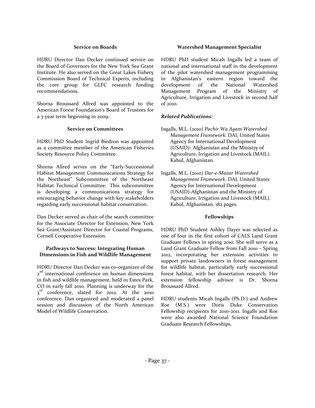#### **Service on Boards**

HDRU Director Dan Decker continued service on the Board of Governors for the New York Sea Grant Institute. He also served on the Great Lakes Fishery Commission Board of Technical Experts, including the core group for GLFC research funding recommendations.

Shorna Broussard Allred was appointed to the American Forest Foundation's Board of Trustees for a 3-year term beginning in 2009.

#### **Service on Committees**

HDRU PhD Student Ingrid Biedron was appointed as a committee member of the American Fisheries Society Resource Policy Committee.

Shorna Allred serves on the "Early-Successional Habitat Management Communications Strategy for the Northeast" Subcommittee of the Northeast Habitat Technical Committee. This subcommittee is developing a communications strategy for encouraging behavior change with key stakeholders regarding early successional habitat conservation.

Dan Decker served as chair of the search committee for the Associate Director for Extension, New York Sea Grant/Assistant Director for Coastal Programs, Cornell Cooperative Extension.

#### **Pathways to Success: Integrating Human Dimensions in Fish and Wildlife Management**

HDRU Director Dan Decker was co-organizer of the 2<sup>nd</sup> international conference on human dimensions in fish and wildlife management, held in Estes Park, CO in early fall 2010. Planning is underway for the 3<sup>rd</sup> conference, slated for 2012. At the 2010 conference, Dan organized and moderated a panel session and discussion of the North American Model of Wildlife Conservation.

#### **Watershed Management Specialist**

HDRU PhD student Micah Ingalls led a team of national and international staff in the development of the pilot watershed management programming in Afghanistan's eastern region toward the development of the National Watershed Management Program of the Ministry of Agriculture, Irrigation and Livestock in second half of 2010.

#### *Related Publications:*

- Ingalls, M.L. (2010) *Pachir Wa Agam Watershed Management Framework.* DAI, United States Agency for International Development (USAID)- Afghanistan and the Ministry of Agriculture, Irrigation and Livestock (MAIL). Kabul, Afghanistan.
- Ingalls, M.L. (2010) *Dar-e-Mazar Watershed Management Framework*. DAI, United States Agency for International Development (USAID)-Afghanistan and the Ministry of Agriculture, Irrigation and Livestock (MAIL). Kabul, Afghanistan. 182 pages.

#### **Fellowships**

HDRU PhD Student Ashley Dayer was selected as one of four in the first cohort of CALS Land Grant Graduate Fellows in spring 2010. She will serve as a Land Grant Graduate Fellow from Fall 2010 – Spring 2012, incorporating her extension activities to support private landowners in forest management for wildlife habitat, particularly early successional forest habitat, with her dissertation research. Her extension fellowship advisor is Dr. Shorna Broussard Allred.

HDRU students Micah Ingalls (Ph.D.) and Andrew Roe (M.S.) were Doris Duke Conservation Fellowship recipients for 2010-2011. Ingalls and Roe were also awarded National Science Foundation Graduate Research Fellowships.